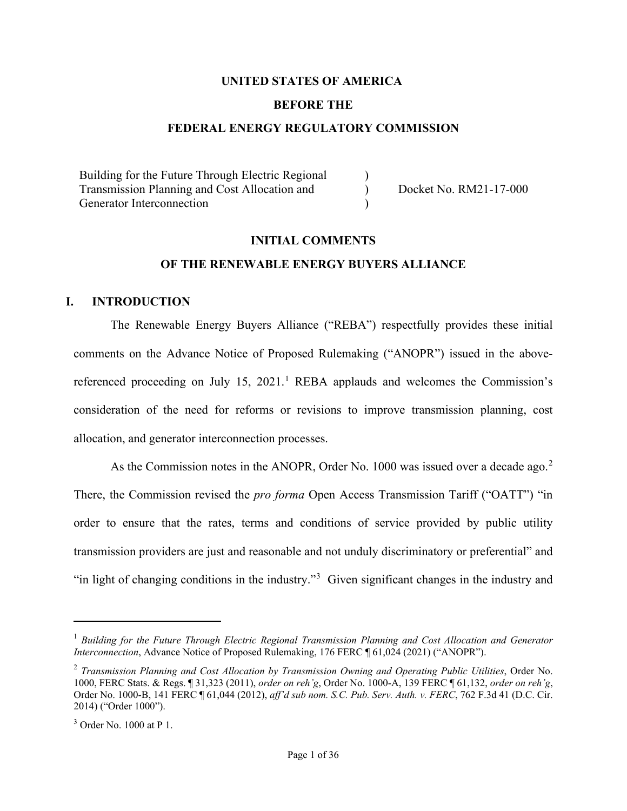## **UNITED STATES OF AMERICA**

#### **BEFORE THE**

#### **FEDERAL ENERGY REGULATORY COMMISSION**

| Building for the Future Through Electric Regional |                        |
|---------------------------------------------------|------------------------|
| Transmission Planning and Cost Allocation and     | Docket No. RM21-17-000 |
| Generator Interconnection                         |                        |

## **INITIAL COMMENTS**

## **OF THE RENEWABLE ENERGY BUYERS ALLIANCE**

#### **I. INTRODUCTION**

The Renewable Energy Buyers Alliance ("REBA") respectfully provides these initial comments on the Advance Notice of Proposed Rulemaking ("ANOPR") issued in the above-referenced proceeding on July [1](#page-0-0)5, 2021.<sup>1</sup> REBA applauds and welcomes the Commission's consideration of the need for reforms or revisions to improve transmission planning, cost allocation, and generator interconnection processes.

As the Commission notes in the ANOPR, Order No. 1000 was issued over a decade ago. $2$ There, the Commission revised the *pro forma* Open Access Transmission Tariff ("OATT") "in order to ensure that the rates, terms and conditions of service provided by public utility transmission providers are just and reasonable and not unduly discriminatory or preferential" and "in light of changing conditions in the industry."<sup>[3](#page-0-2)</sup> Given significant changes in the industry and

<span id="page-0-0"></span><sup>1</sup> *Building for the Future Through Electric Regional Transmission Planning and Cost Allocation and Generator Interconnection*, Advance Notice of Proposed Rulemaking, 176 FERC ¶ 61,024 (2021) ("ANOPR").

<span id="page-0-1"></span><sup>2</sup> *Transmission Planning and Cost Allocation by Transmission Owning and Operating Public Utilities*, Order No. 1000, FERC Stats. & Regs. ¶ 31,323 (2011), *order on reh'g*, Order No. 1000-A, 139 FERC ¶ 61,132, *order on reh'g*, Order No. 1000-B, 141 FERC ¶ 61,044 (2012), *aff'd sub nom. S.C. Pub. Serv. Auth. v. FERC*, 762 F.3d 41 (D.C. Cir. 2014) ("Order 1000").

<span id="page-0-2"></span> $3$  Order No. 1000 at P 1.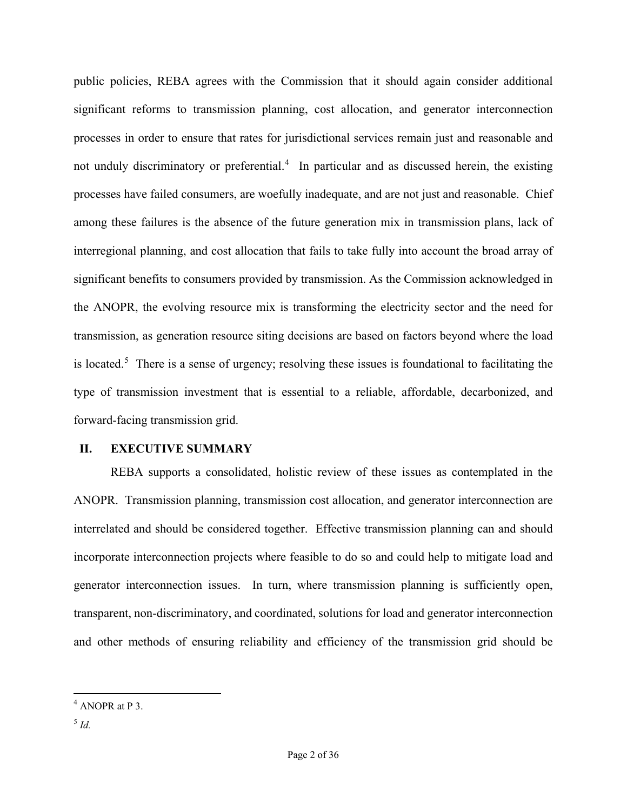public policies, REBA agrees with the Commission that it should again consider additional significant reforms to transmission planning, cost allocation, and generator interconnection processes in order to ensure that rates for jurisdictional services remain just and reasonable and not unduly discriminatory or preferential.<sup>[4](#page-1-0)</sup> In particular and as discussed herein, the existing processes have failed consumers, are woefully inadequate, and are not just and reasonable. Chief among these failures is the absence of the future generation mix in transmission plans, lack of interregional planning, and cost allocation that fails to take fully into account the broad array of significant benefits to consumers provided by transmission. As the Commission acknowledged in the ANOPR, the evolving resource mix is transforming the electricity sector and the need for transmission, as generation resource siting decisions are based on factors beyond where the load is located.<sup>[5](#page-1-1)</sup> There is a sense of urgency; resolving these issues is foundational to facilitating the type of transmission investment that is essential to a reliable, affordable, decarbonized, and forward-facing transmission grid.

## **II. EXECUTIVE SUMMARY**

REBA supports a consolidated, holistic review of these issues as contemplated in the ANOPR. Transmission planning, transmission cost allocation, and generator interconnection are interrelated and should be considered together. Effective transmission planning can and should incorporate interconnection projects where feasible to do so and could help to mitigate load and generator interconnection issues. In turn, where transmission planning is sufficiently open, transparent, non-discriminatory, and coordinated, solutions for load and generator interconnection and other methods of ensuring reliability and efficiency of the transmission grid should be

<span id="page-1-1"></span><span id="page-1-0"></span> $4$  ANOPR at P 3.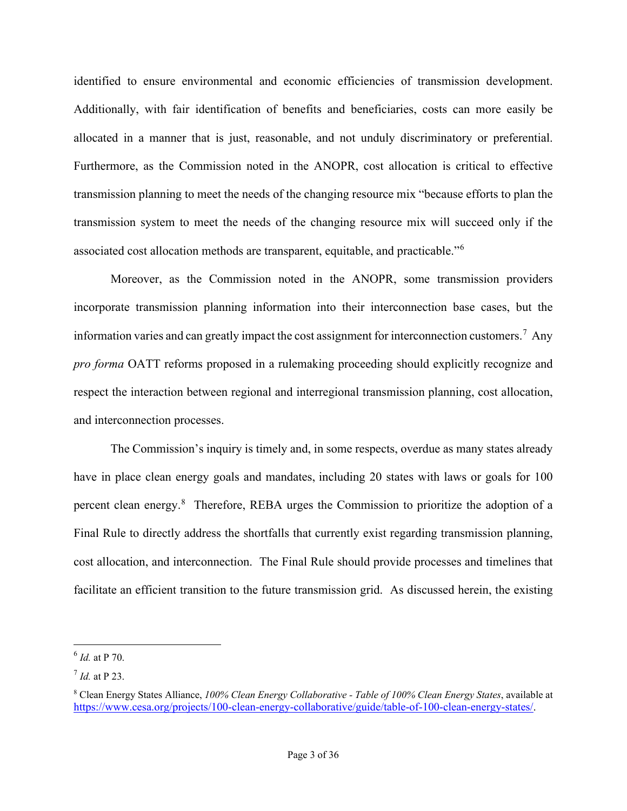identified to ensure environmental and economic efficiencies of transmission development. Additionally, with fair identification of benefits and beneficiaries, costs can more easily be allocated in a manner that is just, reasonable, and not unduly discriminatory or preferential. Furthermore, as the Commission noted in the ANOPR, cost allocation is critical to effective transmission planning to meet the needs of the changing resource mix "because efforts to plan the transmission system to meet the needs of the changing resource mix will succeed only if the associated cost allocation methods are transparent, equitable, and practicable."<sup>[6](#page-2-0)</sup>

Moreover, as the Commission noted in the ANOPR, some transmission providers incorporate transmission planning information into their interconnection base cases, but the information varies and can greatly impact the cost assignment for interconnection customers.<sup>[7](#page-2-1)</sup> Any *pro forma* OATT reforms proposed in a rulemaking proceeding should explicitly recognize and respect the interaction between regional and interregional transmission planning, cost allocation, and interconnection processes.

The Commission's inquiry is timely and, in some respects, overdue as many states already have in place clean energy goals and mandates, including 20 states with laws or goals for 100 percent clean energy.<sup>[8](#page-2-2)</sup> Therefore, REBA urges the Commission to prioritize the adoption of a Final Rule to directly address the shortfalls that currently exist regarding transmission planning, cost allocation, and interconnection. The Final Rule should provide processes and timelines that facilitate an efficient transition to the future transmission grid. As discussed herein, the existing

<span id="page-2-0"></span><sup>6</sup> *Id.* at P 70.

<span id="page-2-1"></span><sup>7</sup> *Id.* at P 23.

<span id="page-2-2"></span><sup>8</sup> Clean Energy States Alliance, *100% Clean Energy Collaborative - Table of 100% Clean Energy States*, available at [https://www.cesa.org/projects/100-clean-energy-collaborative/guide/table-of-100-clean-energy-states/.](https://www.cesa.org/projects/100-clean-energy-collaborative/guide/table-of-100-clean-energy-states/)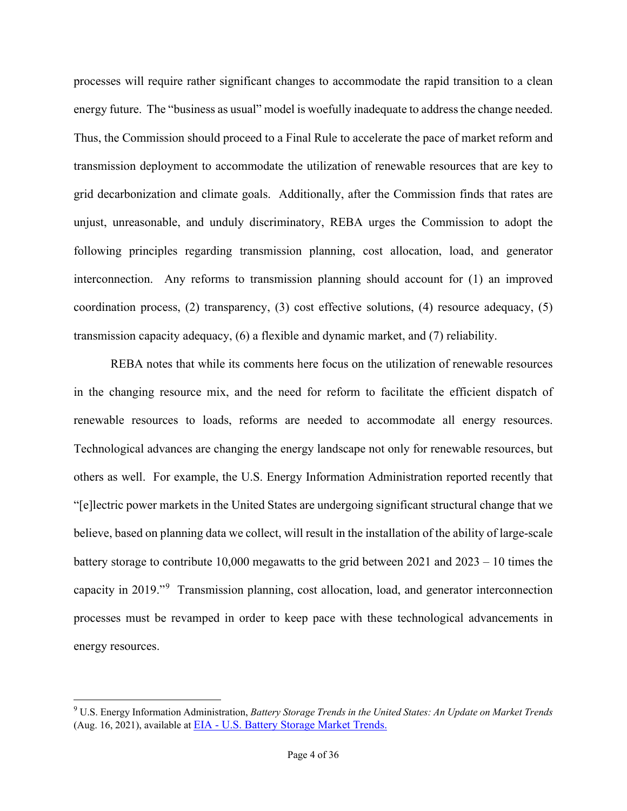processes will require rather significant changes to accommodate the rapid transition to a clean energy future. The "business as usual" model is woefully inadequate to address the change needed. Thus, the Commission should proceed to a Final Rule to accelerate the pace of market reform and transmission deployment to accommodate the utilization of renewable resources that are key to grid decarbonization and climate goals. Additionally, after the Commission finds that rates are unjust, unreasonable, and unduly discriminatory, REBA urges the Commission to adopt the following principles regarding transmission planning, cost allocation, load, and generator interconnection. Any reforms to transmission planning should account for (1) an improved coordination process, (2) transparency, (3) cost effective solutions, (4) resource adequacy, (5) transmission capacity adequacy, (6) a flexible and dynamic market, and (7) reliability.

REBA notes that while its comments here focus on the utilization of renewable resources in the changing resource mix, and the need for reform to facilitate the efficient dispatch of renewable resources to loads, reforms are needed to accommodate all energy resources. Technological advances are changing the energy landscape not only for renewable resources, but others as well. For example, the U.S. Energy Information Administration reported recently that "[e]lectric power markets in the United States are undergoing significant structural change that we believe, based on planning data we collect, will result in the installation of the ability of large-scale battery storage to contribute 10,000 megawatts to the grid between 2021 and 2023 – 10 times the capacity in 2019."[9](#page-3-0) Transmission planning, cost allocation, load, and generator interconnection processes must be revamped in order to keep pace with these technological advancements in energy resources.

<span id="page-3-0"></span><sup>9</sup> U.S. Energy Information Administration, *Battery Storage Trends in the United States: An Update on Market Trends* (Aug. 16, 2021), available at EIA - [U.S. Battery Storage Market Trends.](https://www.eia.gov/analysis/studies/electricity/batterystorage/)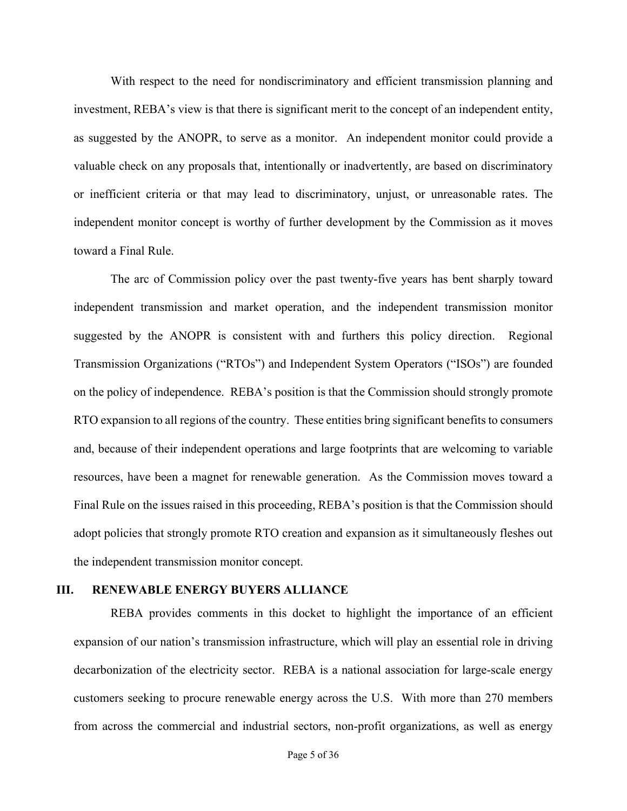With respect to the need for nondiscriminatory and efficient transmission planning and investment, REBA's view is that there is significant merit to the concept of an independent entity, as suggested by the ANOPR, to serve as a monitor. An independent monitor could provide a valuable check on any proposals that, intentionally or inadvertently, are based on discriminatory or inefficient criteria or that may lead to discriminatory, unjust, or unreasonable rates. The independent monitor concept is worthy of further development by the Commission as it moves toward a Final Rule.

The arc of Commission policy over the past twenty-five years has bent sharply toward independent transmission and market operation, and the independent transmission monitor suggested by the ANOPR is consistent with and furthers this policy direction. Regional Transmission Organizations ("RTOs") and Independent System Operators ("ISOs") are founded on the policy of independence. REBA's position is that the Commission should strongly promote RTO expansion to all regions of the country. These entities bring significant benefits to consumers and, because of their independent operations and large footprints that are welcoming to variable resources, have been a magnet for renewable generation. As the Commission moves toward a Final Rule on the issues raised in this proceeding, REBA's position is that the Commission should adopt policies that strongly promote RTO creation and expansion as it simultaneously fleshes out the independent transmission monitor concept.

#### **III. RENEWABLE ENERGY BUYERS ALLIANCE**

REBA provides comments in this docket to highlight the importance of an efficient expansion of our nation's transmission infrastructure, which will play an essential role in driving decarbonization of the electricity sector. REBA is a national association for large-scale energy customers seeking to procure renewable energy across the U.S. With more than 270 members from across the commercial and industrial sectors, non-profit organizations, as well as energy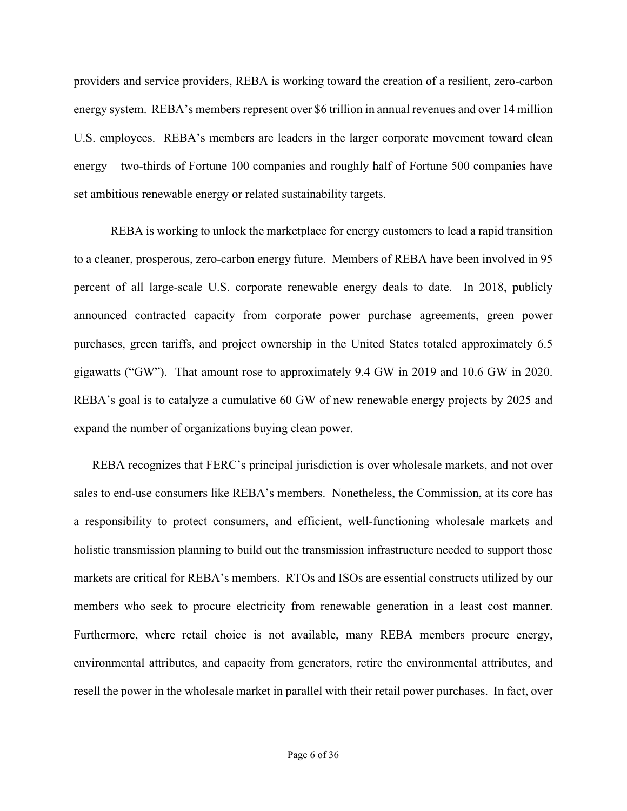providers and service providers, REBA is working toward the creation of a resilient, zero-carbon energy system. REBA's members represent over \$6 trillion in annual revenues and over 14 million U.S. employees. REBA's members are leaders in the larger corporate movement toward clean energy – two-thirds of Fortune 100 companies and roughly half of Fortune 500 companies have set ambitious renewable energy or related sustainability targets.

REBA is working to unlock the marketplace for energy customers to lead a rapid transition to a cleaner, prosperous, zero-carbon energy future. Members of REBA have been involved in 95 percent of all large-scale U.S. corporate renewable energy deals to date. In 2018, publicly announced contracted capacity from corporate power purchase agreements, green power purchases, green tariffs, and project ownership in the United States totaled approximately 6.5 gigawatts ("GW"). That amount rose to approximately 9.4 GW in 2019 and 10.6 GW in 2020. REBA's goal is to catalyze a cumulative 60 GW of new renewable energy projects by 2025 and expand the number of organizations buying clean power.

REBA recognizes that FERC's principal jurisdiction is over wholesale markets, and not over sales to end-use consumers like REBA's members. Nonetheless, the Commission, at its core has a responsibility to protect consumers, and efficient, well-functioning wholesale markets and holistic transmission planning to build out the transmission infrastructure needed to support those markets are critical for REBA's members. RTOs and ISOs are essential constructs utilized by our members who seek to procure electricity from renewable generation in a least cost manner. Furthermore, where retail choice is not available, many REBA members procure energy, environmental attributes, and capacity from generators, retire the environmental attributes, and resell the power in the wholesale market in parallel with their retail power purchases. In fact, over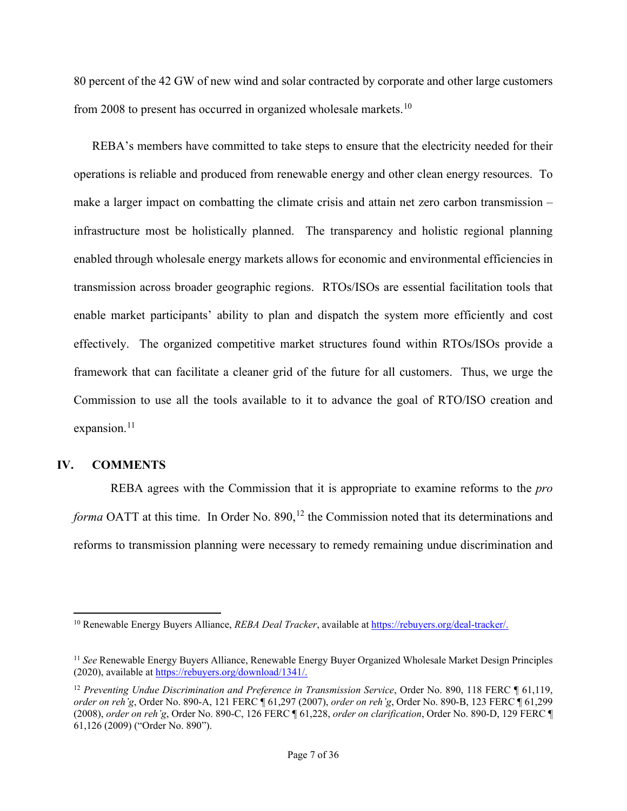80 percent of the 42 GW of new wind and solar contracted by corporate and other large customers from 2008 to present has occurred in organized wholesale markets.<sup>[10](#page-6-0)</sup>

REBA's members have committed to take steps to ensure that the electricity needed for their operations is reliable and produced from renewable energy and other clean energy resources. To make a larger impact on combatting the climate crisis and attain net zero carbon transmission – infrastructure most be holistically planned. The transparency and holistic regional planning enabled through wholesale energy markets allows for economic and environmental efficiencies in transmission across broader geographic regions. RTOs/ISOs are essential facilitation tools that enable market participants' ability to plan and dispatch the system more efficiently and cost effectively. The organized competitive market structures found within RTOs/ISOs provide a framework that can facilitate a cleaner grid of the future for all customers. Thus, we urge the Commission to use all the tools available to it to advance the goal of RTO/ISO creation and expansion.<sup>[11](#page-6-1)</sup>

## **IV. COMMENTS**

REBA agrees with the Commission that it is appropriate to examine reforms to the *pro forma* OATT at this time. In Order No. 890,<sup>[12](#page-6-2)</sup> the Commission noted that its determinations and reforms to transmission planning were necessary to remedy remaining undue discrimination and

<span id="page-6-0"></span><sup>10</sup> Renewable Energy Buyers Alliance, *REBA Deal Tracker*, available at [https://rebuyers.org/deal-tracker/.](https://rebuyers.org/deal-tracker/)

<span id="page-6-1"></span><sup>11</sup> *See* Renewable Energy Buyers Alliance, Renewable Energy Buyer Organized Wholesale Market Design Principles (2020), available at [https://rebuyers.org/download/1341/.](https://rebuyers.org/download/1341/)

<span id="page-6-2"></span><sup>&</sup>lt;sup>12</sup> Preventing Undue Discrimination and Preference in Transmission Service, Order No. 890, 118 FERC ¶ 61,119, *order on reh'g*, Order No. 890-A, 121 FERC ¶ 61,297 (2007), *order on reh'g*, Order No. 890-B, 123 FERC ¶ 61,299 (2008), *order on reh'g*, Order No. 890-C, 126 FERC ¶ 61,228, *order on clarification*, Order No. 890-D, 129 FERC ¶ 61,126 (2009) ("Order No. 890").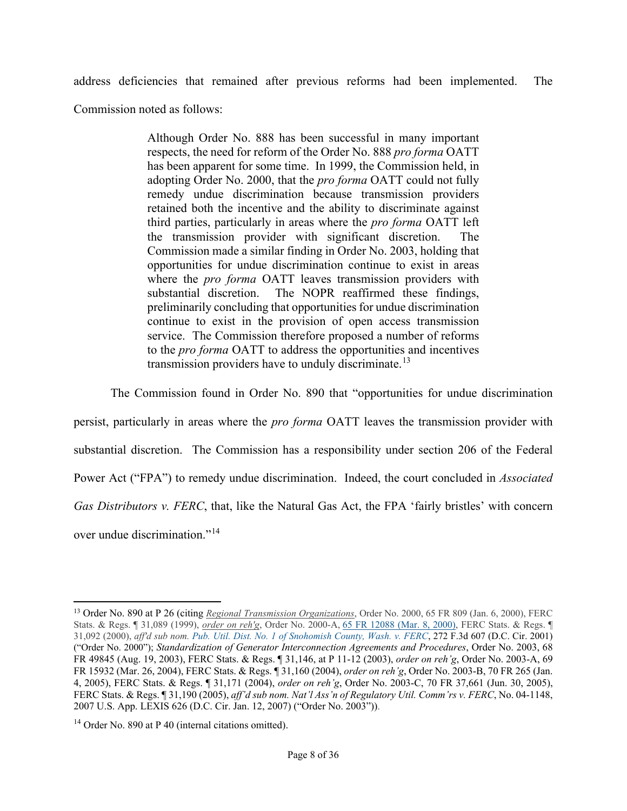address deficiencies that remained after previous reforms had been implemented. The

Commission noted as follows:

Although Order No. 888 has been successful in many important respects, the need for reform of the Order No. 888 *pro forma* OATT has been apparent for some time. In 1999, the Commission held, in adopting Order No. 2000, that the *pro forma* OATT could not fully remedy undue discrimination because transmission providers retained both the incentive and the ability to discriminate against third parties, particularly in areas where the *pro forma* OATT left the transmission provider with significant discretion. The Commission made a similar finding in Order No. 2003, holding that opportunities for undue discrimination continue to exist in areas where the *pro forma* OATT leaves transmission providers with substantial discretion. The NOPR reaffirmed these findings, preliminarily concluding that opportunities for undue discrimination continue to exist in the provision of open access transmission service. The Commission therefore proposed a number of reforms to the *pro forma* OATT to address the opportunities and incentives transmission providers have to unduly discriminate.<sup>[13](#page-7-0)</sup>

The Commission found in Order No. 890 that "opportunities for undue discrimination

persist, particularly in areas where the *pro forma* OATT leaves the transmission provider with substantial discretion. The Commission has a responsibility under section 206 of the Federal Power Act ("FPA") to remedy undue discrimination. Indeed, the court concluded in *Associated Gas Distributors v. FERC*, that, like the Natural Gas Act, the FPA 'fairly bristles' with concern over undue discrimination."[14](#page-7-1) 

<span id="page-7-0"></span><sup>13</sup> Order No. 890 at P 26 (citing *Regional Transmission Organizations*, Order No. 2000, 65 FR 809 (Jan. 6, 2000), FERC Stats. & Regs. ¶ 31,089 (1999), *order on reh'g*, Order No. 2000-A, 65 FR 12088 (Mar. 8, [2000\),](https://1.next.westlaw.com/Link/Document/FullText?findType=l&pubNum=0001037&cite=UUID(I0BB64C902FBA11DAAECA8D28B8108CB8)&originatingDoc=I2778fcb0bf7911db8bdb937f126fc7d3&refType=CP&fi=co_pp_sp_1037_12088&originationContext=document&transitionType=DocumentItem&ppcid=d5dc22257ff446769aa0be63482a16b3&contextData=(sc.DocLink)#co_pp_sp_1037_12088) FERC Stats. & Regs. ¶ 31,092 (2000), *aff'd sub nom. Pub. Util. Dist. No. 1 of Snohomish County, Wash. v. FERC*, 272 F.3d 607 (D.C. Cir. 2001) ("Order No. 2000"); *Standardization of Generator Interconnection Agreements and Procedures*, Order No. 2003, 68 FR 49845 (Aug. 19, 2003), FERC Stats. & Regs. ¶ 31,146, at P 11-12 (2003), *order on reh'g*, Order No. 2003-A, 69 FR 15932 (Mar. 26, 2004), FERC Stats. & Regs. ¶ 31,160 (2004), *order on reh'g*, Order No. 2003-B, 70 FR 265 (Jan. 4, 2005), FERC Stats. & Regs. ¶ 31,171 (2004), *order on reh'g*, Order No. 2003-C, 70 FR 37,661 (Jun. 30, 2005), FERC Stats. & Regs. ¶ 31,190 (2005), *aff'd sub nom. Nat'l Ass'n of Regulatory Util. Comm'rs v. FERC*, No. 04-1148, 2007 U.S. App. LEXIS 626 (D.C. Cir. Jan. 12, 2007) ("Order No. 2003")).

<span id="page-7-1"></span> $14$  Order No. 890 at P 40 (internal citations omitted).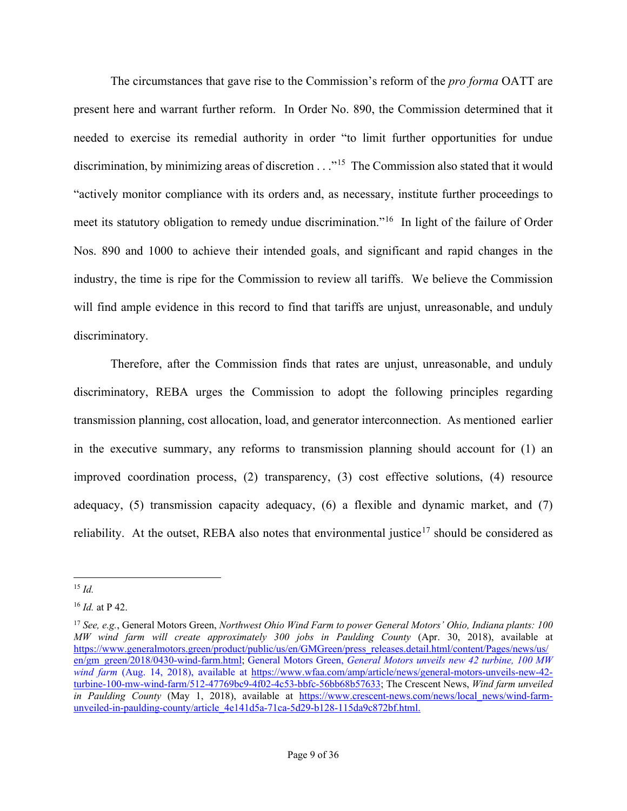The circumstances that gave rise to the Commission's reform of the *pro forma* OATT are present here and warrant further reform. In Order No. 890, the Commission determined that it needed to exercise its remedial authority in order "to limit further opportunities for undue discrimination, by minimizing areas of discretion  $\ldots$ <sup>[15](#page-8-0)</sup> The Commission also stated that it would "actively monitor compliance with its orders and, as necessary, institute further proceedings to meet its statutory obligation to remedy undue discrimination."[16](#page-8-1) In light of the failure of Order Nos. 890 and 1000 to achieve their intended goals, and significant and rapid changes in the industry, the time is ripe for the Commission to review all tariffs. We believe the Commission will find ample evidence in this record to find that tariffs are unjust, unreasonable, and unduly discriminatory.

Therefore, after the Commission finds that rates are unjust, unreasonable, and unduly discriminatory, REBA urges the Commission to adopt the following principles regarding transmission planning, cost allocation, load, and generator interconnection. As mentioned earlier in the executive summary, any reforms to transmission planning should account for (1) an improved coordination process, (2) transparency, (3) cost effective solutions, (4) resource adequacy, (5) transmission capacity adequacy, (6) a flexible and dynamic market, and (7) reliability. At the outset, REBA also notes that environmental justice<sup>[17](#page-8-2)</sup> should be considered as

<span id="page-8-0"></span><sup>15</sup> *Id.*

<span id="page-8-1"></span><sup>16</sup> *Id.* at P 42.

<span id="page-8-2"></span><sup>17</sup> *See, e.g.*, General Motors Green, *Northwest Ohio Wind Farm to power General Motors' Ohio, Indiana plants: 100 MW wind farm will create approximately 300 jobs in Paulding County* (Apr. 30, 2018), available at [https://www.generalmotors.green/product/public/us/en/GMGreen/press\\_releases.detail.html/content/Pages/news/us/](https://www.generalmotors.green/product/public/us/en/GMGreen/press_releases.detail.html/content/Pages/news/us/en/gm_green/2018/0430-wind-farm.html) [en/gm\\_green/2018/0430-wind-farm.html;](https://www.generalmotors.green/product/public/us/en/GMGreen/press_releases.detail.html/content/Pages/news/us/en/gm_green/2018/0430-wind-farm.html) General Motors Green, *General Motors unveils new 42 turbine, 100 MW wind farm* (Aug. 14, 2018), available at [https://www.wfaa.com/amp/article/news/general-motors-unveils-new-42](https://www.wfaa.com/amp/article/news/general-motors-unveils-new-42-turbine-100-mw-wind-farm/512-47769bc9-4f02-4c53-bbfc-56bb68b57633) [turbine-100-mw-wind-farm/512-47769bc9-4f02-4c53-bbfc-56bb68b57633;](https://www.wfaa.com/amp/article/news/general-motors-unveils-new-42-turbine-100-mw-wind-farm/512-47769bc9-4f02-4c53-bbfc-56bb68b57633) The Crescent News, *Wind farm unveiled in Paulding County* (May 1, 2018), available at [https://www.crescent-news.com/news/local\\_news/wind-farm](https://www.crescent-news.com/news/local_news/wind-farm-unveiled-in-paulding-county/article_4e141d5a-71ca-5d29-b128-115da9c872bf.html)[unveiled-in-paulding-county/article\\_4e141d5a-71ca-5d29-b128-115da9c872bf.html.](https://www.crescent-news.com/news/local_news/wind-farm-unveiled-in-paulding-county/article_4e141d5a-71ca-5d29-b128-115da9c872bf.html)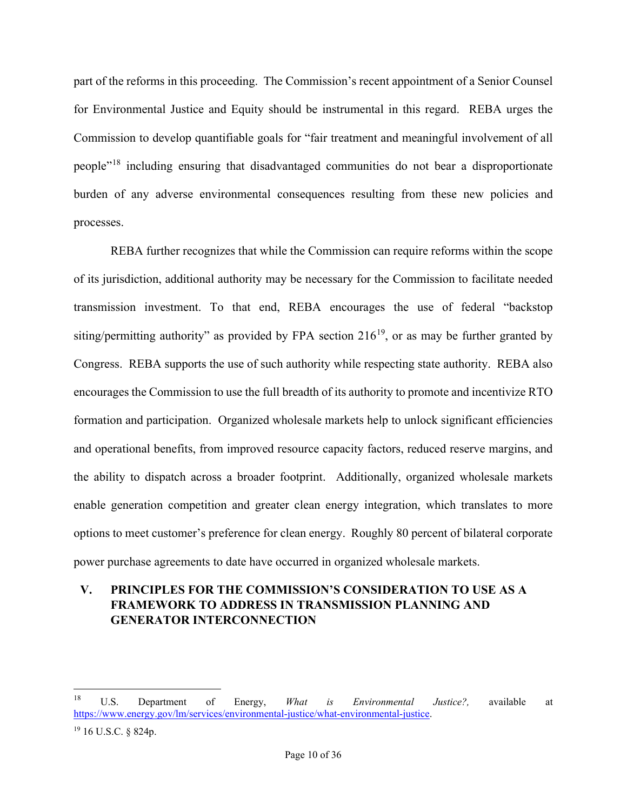part of the reforms in this proceeding. The Commission's recent appointment of a Senior Counsel for Environmental Justice and Equity should be instrumental in this regard. REBA urges the Commission to develop quantifiable goals for "fair treatment and meaningful involvement of all people"[18](#page-9-0) including ensuring that disadvantaged communities do not bear a disproportionate burden of any adverse environmental consequences resulting from these new policies and processes.

REBA further recognizes that while the Commission can require reforms within the scope of its jurisdiction, additional authority may be necessary for the Commission to facilitate needed transmission investment. To that end, REBA encourages the use of federal "backstop siting/permitting authority" as provided by FPA section  $216^{19}$  $216^{19}$  $216^{19}$ , or as may be further granted by Congress. REBA supports the use of such authority while respecting state authority. REBA also encourages the Commission to use the full breadth of its authority to promote and incentivize RTO formation and participation. Organized wholesale markets help to unlock significant efficiencies and operational benefits, from improved resource capacity factors, reduced reserve margins, and the ability to dispatch across a broader footprint. Additionally, organized wholesale markets enable generation competition and greater clean energy integration, which translates to more options to meet customer's preference for clean energy. Roughly 80 percent of bilateral corporate power purchase agreements to date have occurred in organized wholesale markets.

# **V. PRINCIPLES FOR THE COMMISSION'S CONSIDERATION TO USE AS A FRAMEWORK TO ADDRESS IN TRANSMISSION PLANNING AND GENERATOR INTERCONNECTION**

<span id="page-9-0"></span><sup>18</sup> U.S. Department of Energy, *What is Environmental Justice?,* available at [https://www.energy.gov/lm/services/environmental-justice/what-environmental-justice.](https://www.energy.gov/lm/services/environmental-justice/what-environmental-justice)

<span id="page-9-1"></span><sup>19</sup> 16 U.S.C. § 824p.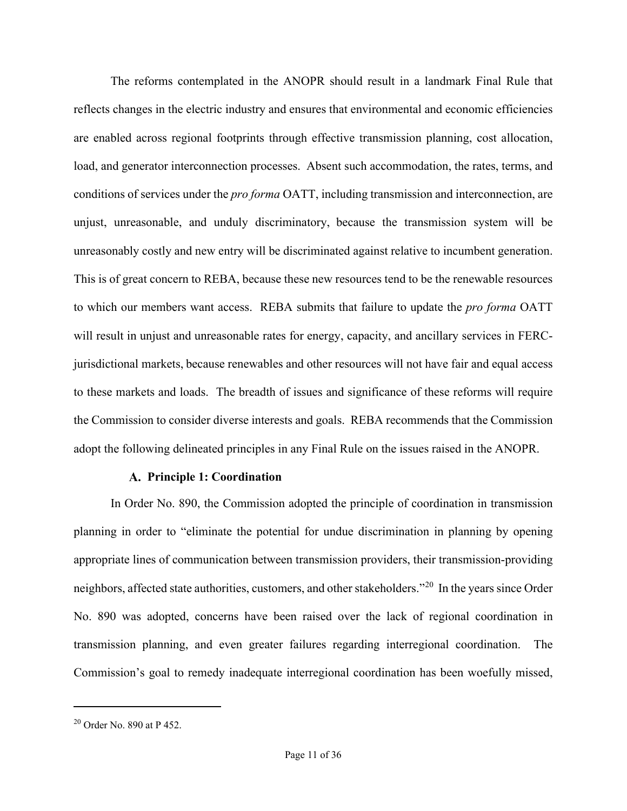The reforms contemplated in the ANOPR should result in a landmark Final Rule that reflects changes in the electric industry and ensures that environmental and economic efficiencies are enabled across regional footprints through effective transmission planning, cost allocation, load, and generator interconnection processes. Absent such accommodation, the rates, terms, and conditions of services under the *pro forma* OATT, including transmission and interconnection, are unjust, unreasonable, and unduly discriminatory, because the transmission system will be unreasonably costly and new entry will be discriminated against relative to incumbent generation. This is of great concern to REBA, because these new resources tend to be the renewable resources to which our members want access. REBA submits that failure to update the *pro forma* OATT will result in unjust and unreasonable rates for energy, capacity, and ancillary services in FERCjurisdictional markets, because renewables and other resources will not have fair and equal access to these markets and loads. The breadth of issues and significance of these reforms will require the Commission to consider diverse interests and goals. REBA recommends that the Commission adopt the following delineated principles in any Final Rule on the issues raised in the ANOPR.

## **Principle 1: Coordination**

In Order No. 890, the Commission adopted the principle of coordination in transmission planning in order to "eliminate the potential for undue discrimination in planning by opening appropriate lines of communication between transmission providers, their transmission-providing neighbors, affected state authorities, customers, and other stakeholders."[20](#page-10-0) In the years since Order No. 890 was adopted, concerns have been raised over the lack of regional coordination in transmission planning, and even greater failures regarding interregional coordination. The Commission's goal to remedy inadequate interregional coordination has been woefully missed,

<span id="page-10-0"></span> $20$  Order No. 890 at P 452.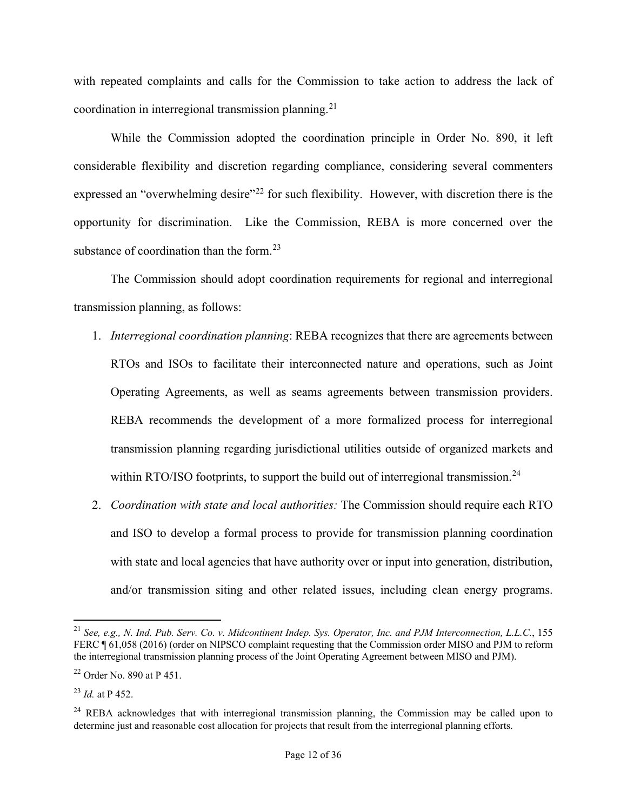with repeated complaints and calls for the Commission to take action to address the lack of coordination in interregional transmission planning.<sup>21</sup>

While the Commission adopted the coordination principle in Order No. 890, it left considerable flexibility and discretion regarding compliance, considering several commenters expressed an "overwhelming desire"<sup>[22](#page-11-1)</sup> for such flexibility. However, with discretion there is the opportunity for discrimination. Like the Commission, REBA is more concerned over the substance of coordination than the form.<sup>23</sup>

The Commission should adopt coordination requirements for regional and interregional transmission planning, as follows:

- 1. *Interregional coordination planning*: REBA recognizes that there are agreements between RTOs and ISOs to facilitate their interconnected nature and operations, such as Joint Operating Agreements, as well as seams agreements between transmission providers. REBA recommends the development of a more formalized process for interregional transmission planning regarding jurisdictional utilities outside of organized markets and within RTO/ISO footprints, to support the build out of interregional transmission.<sup>24</sup>
- 2. *Coordination with state and local authorities:* The Commission should require each RTO and ISO to develop a formal process to provide for transmission planning coordination with state and local agencies that have authority over or input into generation, distribution, and/or transmission siting and other related issues, including clean energy programs.

<span id="page-11-0"></span><sup>21</sup> *See, e.g., N. Ind. Pub. Serv. Co. v. Midcontinent Indep. Sys. Operator, Inc. and PJM Interconnection, L.L.C.*, 155 FERC ¶ 61,058 (2016) (order on NIPSCO complaint requesting that the Commission order MISO and PJM to reform the interregional transmission planning process of the Joint Operating Agreement between MISO and PJM).

<span id="page-11-1"></span><sup>22</sup> Order No. 890 at P 451.

<span id="page-11-2"></span><sup>23</sup> *Id.* at P 452.

<span id="page-11-3"></span> $24$  REBA acknowledges that with interregional transmission planning, the Commission may be called upon to determine just and reasonable cost allocation for projects that result from the interregional planning efforts.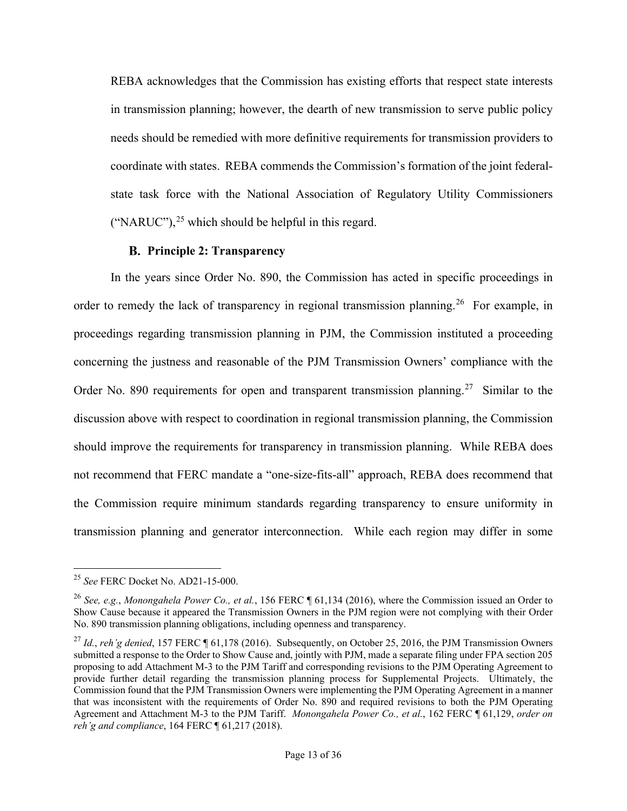REBA acknowledges that the Commission has existing efforts that respect state interests in transmission planning; however, the dearth of new transmission to serve public policy needs should be remedied with more definitive requirements for transmission providers to coordinate with states. REBA commends the Commission's formation of the joint federalstate task force with the National Association of Regulatory Utility Commissioners ("NARUC"), $^{25}$  $^{25}$  $^{25}$  which should be helpful in this regard.

## **Principle 2: Transparency**

In the years since Order No. 890, the Commission has acted in specific proceedings in order to remedy the lack of transparency in regional transmission planning.<sup>[26](#page-12-1)</sup> For example, in proceedings regarding transmission planning in PJM, the Commission instituted a proceeding concerning the justness and reasonable of the PJM Transmission Owners' compliance with the Order No. 890 requirements for open and transparent transmission planning.<sup>[27](#page-12-2)</sup> Similar to the discussion above with respect to coordination in regional transmission planning, the Commission should improve the requirements for transparency in transmission planning. While REBA does not recommend that FERC mandate a "one-size-fits-all" approach, REBA does recommend that the Commission require minimum standards regarding transparency to ensure uniformity in transmission planning and generator interconnection. While each region may differ in some

<span id="page-12-0"></span><sup>25</sup> *See* FERC Docket No. AD21-15-000.

<span id="page-12-1"></span><sup>26</sup> *See, e.g.*, *Monongahela Power Co., et al.*, 156 FERC ¶ 61,134 (2016), where the Commission issued an Order to Show Cause because it appeared the Transmission Owners in the PJM region were not complying with their Order No. 890 transmission planning obligations, including openness and transparency.

<span id="page-12-2"></span><sup>&</sup>lt;sup>27</sup> *Id., reh'g denied*, 157 FERC ¶ 61,178 (2016). Subsequently, on October 25, 2016, the PJM Transmission Owners submitted a response to the Order to Show Cause and, jointly with PJM, made a separate filing under FPA section 205 proposing to add Attachment M-3 to the PJM Tariff and corresponding revisions to the PJM Operating Agreement to provide further detail regarding the transmission planning process for Supplemental Projects. Ultimately, the Commission found that the PJM Transmission Owners were implementing the PJM Operating Agreement in a manner that was inconsistent with the requirements of Order No. 890 and required revisions to both the PJM Operating Agreement and Attachment M-3 to the PJM Tariff. *Monongahela Power Co., et al.*, 162 FERC ¶ 61,129, *order on reh'g and compliance*, 164 FERC ¶ 61,217 (2018).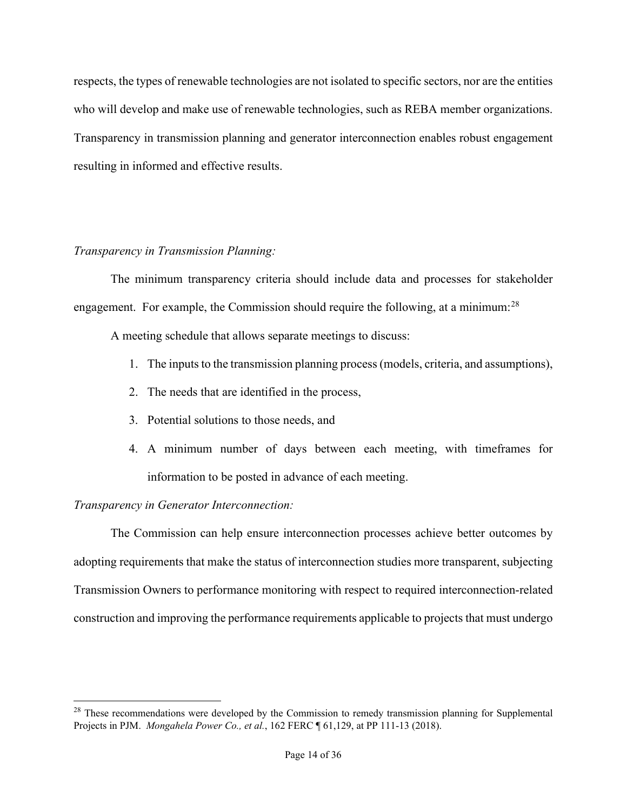respects, the types of renewable technologies are not isolated to specific sectors, nor are the entities who will develop and make use of renewable technologies, such as REBA member organizations. Transparency in transmission planning and generator interconnection enables robust engagement resulting in informed and effective results.

## *Transparency in Transmission Planning:*

The minimum transparency criteria should include data and processes for stakeholder engagement. For example, the Commission should require the following, at a minimum:<sup>[28](#page-13-0)</sup>

A meeting schedule that allows separate meetings to discuss:

- 1. The inputs to the transmission planning process (models, criteria, and assumptions),
- 2. The needs that are identified in the process,
- 3. Potential solutions to those needs, and
- 4. A minimum number of days between each meeting, with timeframes for information to be posted in advance of each meeting.

*Transparency in Generator Interconnection:*

The Commission can help ensure interconnection processes achieve better outcomes by adopting requirements that make the status of interconnection studies more transparent, subjecting Transmission Owners to performance monitoring with respect to required interconnection-related construction and improving the performance requirements applicable to projects that must undergo

<span id="page-13-0"></span> $28$  These recommendations were developed by the Commission to remedy transmission planning for Supplemental Projects in PJM. *Mongahela Power Co., et al.*, 162 FERC ¶ 61,129, at PP 111-13 (2018).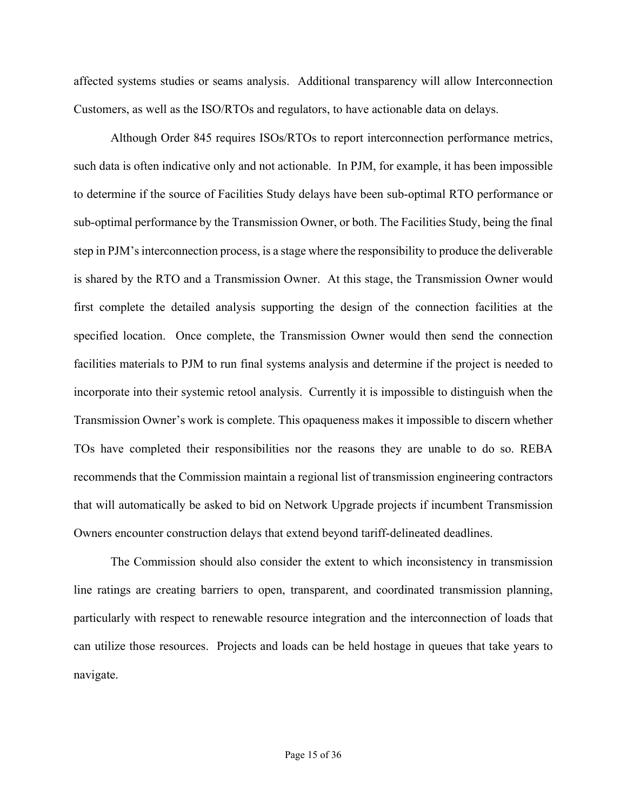affected systems studies or seams analysis. Additional transparency will allow Interconnection Customers, as well as the ISO/RTOs and regulators, to have actionable data on delays.

Although Order 845 requires ISOs/RTOs to report interconnection performance metrics, such data is often indicative only and not actionable. In PJM, for example, it has been impossible to determine if the source of Facilities Study delays have been sub-optimal RTO performance or sub-optimal performance by the Transmission Owner, or both. The Facilities Study, being the final step in PJM's interconnection process, is a stage where the responsibility to produce the deliverable is shared by the RTO and a Transmission Owner. At this stage, the Transmission Owner would first complete the detailed analysis supporting the design of the connection facilities at the specified location. Once complete, the Transmission Owner would then send the connection facilities materials to PJM to run final systems analysis and determine if the project is needed to incorporate into their systemic retool analysis. Currently it is impossible to distinguish when the Transmission Owner's work is complete. This opaqueness makes it impossible to discern whether TOs have completed their responsibilities nor the reasons they are unable to do so. REBA recommends that the Commission maintain a regional list of transmission engineering contractors that will automatically be asked to bid on Network Upgrade projects if incumbent Transmission Owners encounter construction delays that extend beyond tariff-delineated deadlines.

The Commission should also consider the extent to which inconsistency in transmission line ratings are creating barriers to open, transparent, and coordinated transmission planning, particularly with respect to renewable resource integration and the interconnection of loads that can utilize those resources. Projects and loads can be held hostage in queues that take years to navigate.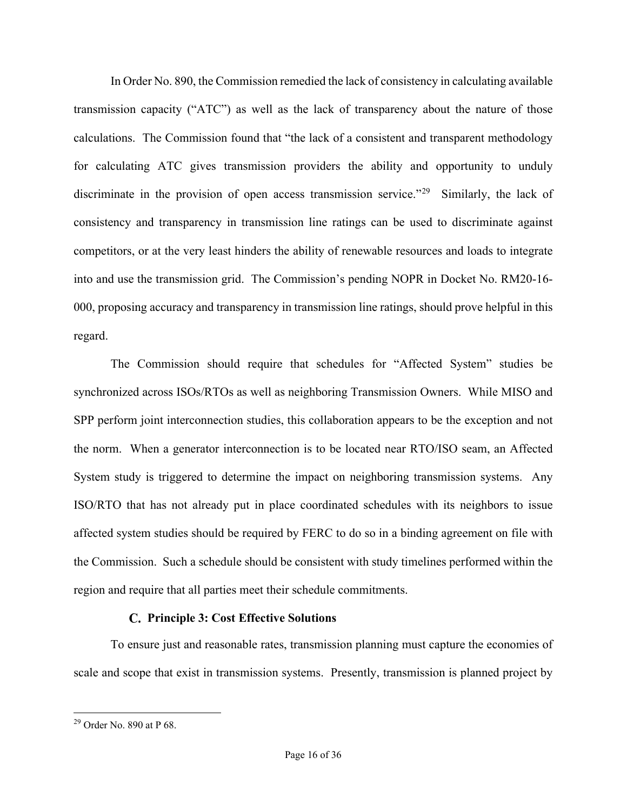In Order No. 890, the Commission remedied the lack of consistency in calculating available transmission capacity ("ATC") as well as the lack of transparency about the nature of those calculations. The Commission found that "the lack of a consistent and transparent methodology for calculating ATC gives transmission providers the ability and opportunity to unduly discriminate in the provision of open access transmission service."<sup>[29](#page-15-0)</sup> Similarly, the lack of consistency and transparency in transmission line ratings can be used to discriminate against competitors, or at the very least hinders the ability of renewable resources and loads to integrate into and use the transmission grid. The Commission's pending NOPR in Docket No. RM20-16- 000, proposing accuracy and transparency in transmission line ratings, should prove helpful in this regard.

The Commission should require that schedules for "Affected System" studies be synchronized across ISOs/RTOs as well as neighboring Transmission Owners. While MISO and SPP perform joint interconnection studies, this collaboration appears to be the exception and not the norm. When a generator interconnection is to be located near RTO/ISO seam, an Affected System study is triggered to determine the impact on neighboring transmission systems. Any ISO/RTO that has not already put in place coordinated schedules with its neighbors to issue affected system studies should be required by FERC to do so in a binding agreement on file with the Commission. Such a schedule should be consistent with study timelines performed within the region and require that all parties meet their schedule commitments.

## **Principle 3: Cost Effective Solutions**

To ensure just and reasonable rates, transmission planning must capture the economies of scale and scope that exist in transmission systems. Presently, transmission is planned project by

<span id="page-15-0"></span> $^{29}$  Order No. 890 at P 68.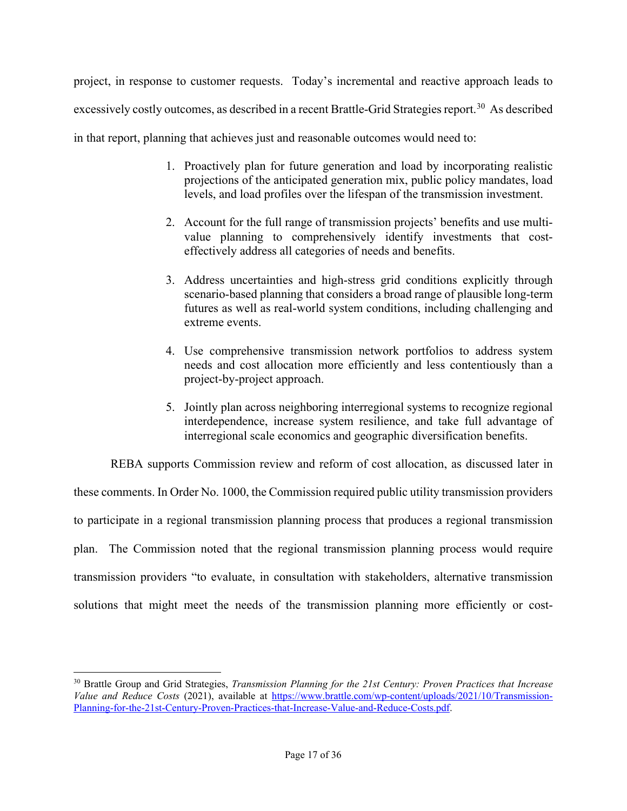project, in response to customer requests. Today's incremental and reactive approach leads to excessively costly outcomes, as described in a recent Brattle-Grid Strategies report.<sup>30</sup> As described in that report, planning that achieves just and reasonable outcomes would need to:

- 1. Proactively plan for future generation and load by incorporating realistic projections of the anticipated generation mix, public policy mandates, load levels, and load profiles over the lifespan of the transmission investment.
	- 2. Account for the full range of transmission projects' benefits and use multivalue planning to comprehensively identify investments that costeffectively address all categories of needs and benefits.
	- 3. Address uncertainties and high-stress grid conditions explicitly through scenario-based planning that considers a broad range of plausible long-term futures as well as real-world system conditions, including challenging and extreme events.
	- 4. Use comprehensive transmission network portfolios to address system needs and cost allocation more efficiently and less contentiously than a project-by-project approach.
	- 5. Jointly plan across neighboring interregional systems to recognize regional interdependence, increase system resilience, and take full advantage of interregional scale economics and geographic diversification benefits.

REBA supports Commission review and reform of cost allocation, as discussed later in these comments. In Order No. 1000, the Commission required public utility transmission providers to participate in a regional transmission planning process that produces a regional transmission plan. The Commission noted that the regional transmission planning process would require transmission providers "to evaluate, in consultation with stakeholders, alternative transmission solutions that might meet the needs of the transmission planning more efficiently or cost-

<span id="page-16-0"></span><sup>30</sup> Brattle Group and Grid Strategies, *Transmission Planning for the 21st Century: Proven Practices that Increase Value and Reduce Costs* (2021), available at [https://www.brattle.com/wp-content/uploads/2021/10/Transmission-](https://www.brattle.com/wp-content/uploads/2021/10/Transmission-Planning-for-the-21st-Century-Proven-Practices-that-Increase-Value-and-Reduce-Costs.pdf)[Planning-for-the-21st-Century-Proven-Practices-that-Increase-Value-and-Reduce-Costs.pdf.](https://www.brattle.com/wp-content/uploads/2021/10/Transmission-Planning-for-the-21st-Century-Proven-Practices-that-Increase-Value-and-Reduce-Costs.pdf)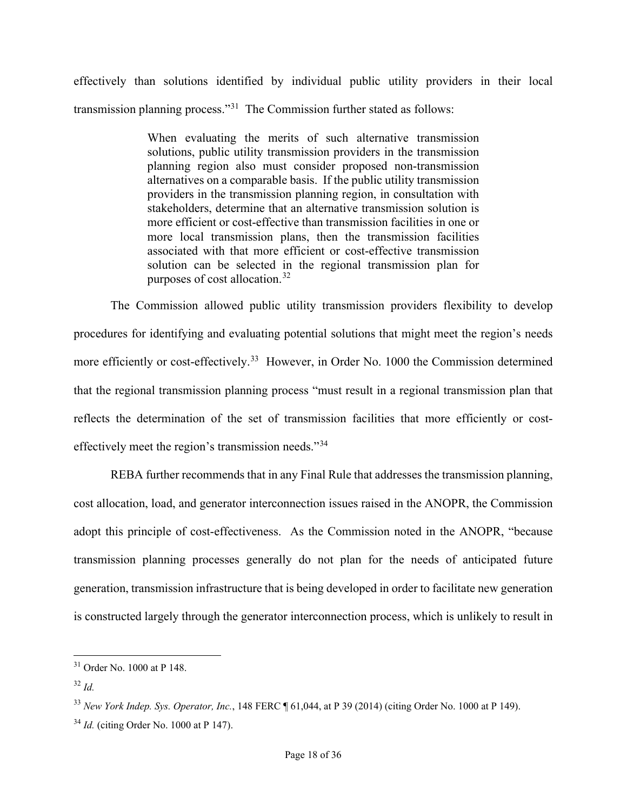effectively than solutions identified by individual public utility providers in their local transmission planning process."[31](#page-17-0) The Commission further stated as follows:

> When evaluating the merits of such alternative transmission solutions, public utility transmission providers in the transmission planning region also must consider proposed non-transmission alternatives on a comparable basis. If the public utility transmission providers in the transmission planning region, in consultation with stakeholders, determine that an alternative transmission solution is more efficient or cost-effective than transmission facilities in one or more local transmission plans, then the transmission facilities associated with that more efficient or cost-effective transmission solution can be selected in the regional transmission plan for purposes of cost allocation.[32](#page-17-1)

The Commission allowed public utility transmission providers flexibility to develop procedures for identifying and evaluating potential solutions that might meet the region's needs more efficiently or cost-effectively.<sup>33</sup> However, in Order No. 1000 the Commission determined that the regional transmission planning process "must result in a regional transmission plan that reflects the determination of the set of transmission facilities that more efficiently or costeffectively meet the region's transmission needs."[34](#page-17-3)

REBA further recommends that in any Final Rule that addresses the transmission planning, cost allocation, load, and generator interconnection issues raised in the ANOPR, the Commission adopt this principle of cost-effectiveness. As the Commission noted in the ANOPR, "because transmission planning processes generally do not plan for the needs of anticipated future generation, transmission infrastructure that is being developed in order to facilitate new generation is constructed largely through the generator interconnection process, which is unlikely to result in

<span id="page-17-0"></span><sup>31</sup> Order No. 1000 at P 148.

<span id="page-17-1"></span><sup>32</sup> *Id.*

<span id="page-17-2"></span><sup>33</sup> *New York Indep. Sys. Operator, Inc.*, 148 FERC ¶ 61,044, at P 39 (2014) (citing Order No. 1000 at P 149).

<span id="page-17-3"></span><sup>34</sup> *Id.* (citing Order No. 1000 at P 147).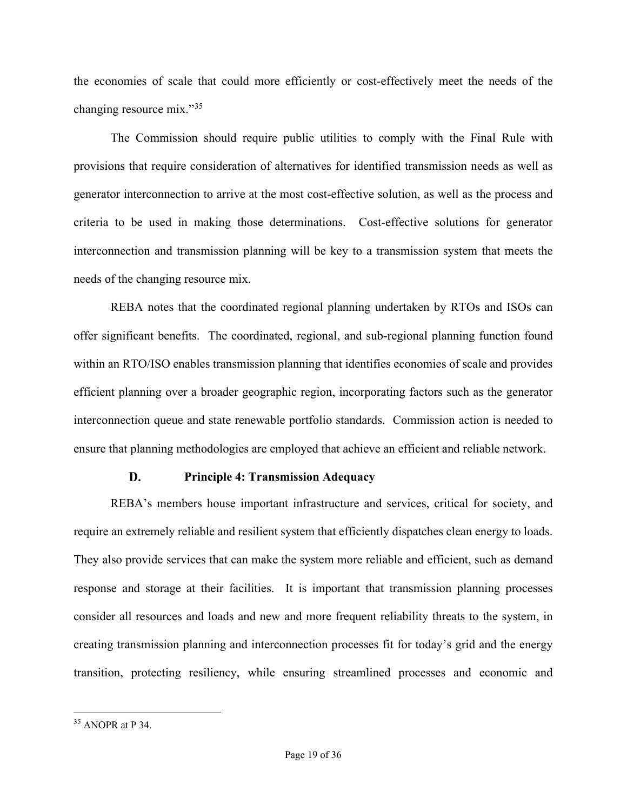the economies of scale that could more efficiently or cost-effectively meet the needs of the changing resource mix."[35](#page-18-0)

The Commission should require public utilities to comply with the Final Rule with provisions that require consideration of alternatives for identified transmission needs as well as generator interconnection to arrive at the most cost-effective solution, as well as the process and criteria to be used in making those determinations. Cost-effective solutions for generator interconnection and transmission planning will be key to a transmission system that meets the needs of the changing resource mix.

REBA notes that the coordinated regional planning undertaken by RTOs and ISOs can offer significant benefits. The coordinated, regional, and sub-regional planning function found within an RTO/ISO enables transmission planning that identifies economies of scale and provides efficient planning over a broader geographic region, incorporating factors such as the generator interconnection queue and state renewable portfolio standards. Commission action is needed to ensure that planning methodologies are employed that achieve an efficient and reliable network.

#### D. **Principle 4: Transmission Adequacy**

REBA's members house important infrastructure and services, critical for society, and require an extremely reliable and resilient system that efficiently dispatches clean energy to loads. They also provide services that can make the system more reliable and efficient, such as demand response and storage at their facilities. It is important that transmission planning processes consider all resources and loads and new and more frequent reliability threats to the system, in creating transmission planning and interconnection processes fit for today's grid and the energy transition, protecting resiliency, while ensuring streamlined processes and economic and

<span id="page-18-0"></span><sup>35</sup> ANOPR at P 34.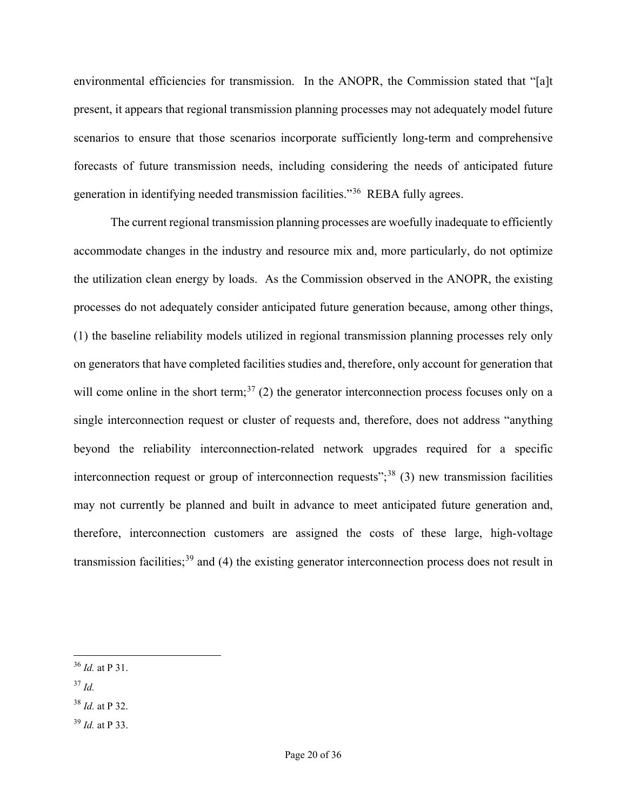environmental efficiencies for transmission. In the ANOPR, the Commission stated that "[a]t present, it appears that regional transmission planning processes may not adequately model future scenarios to ensure that those scenarios incorporate sufficiently long-term and comprehensive forecasts of future transmission needs, including considering the needs of anticipated future generation in identifying needed transmission facilities."[36](#page-19-0) REBA fully agrees.

The current regional transmission planning processes are woefully inadequate to efficiently accommodate changes in the industry and resource mix and, more particularly, do not optimize the utilization clean energy by loads. As the Commission observed in the ANOPR, the existing processes do not adequately consider anticipated future generation because, among other things, (1) the baseline reliability models utilized in regional transmission planning processes rely only on generators that have completed facilities studies and, therefore, only account for generation that will come online in the short term;<sup>[37](#page-19-1)</sup> (2) the generator interconnection process focuses only on a single interconnection request or cluster of requests and, therefore, does not address "anything beyond the reliability interconnection-related network upgrades required for a specific interconnection request or group of interconnection requests";<sup>[38](#page-19-2)</sup> (3) new transmission facilities may not currently be planned and built in advance to meet anticipated future generation and, therefore, interconnection customers are assigned the costs of these large, high-voltage transmission facilities;<sup>[39](#page-19-3)</sup> and (4) the existing generator interconnection process does not result in

- <span id="page-19-1"></span><sup>37</sup> *Id.*
- <span id="page-19-2"></span><sup>38</sup> *Id.* at P 32.
- <span id="page-19-3"></span><sup>39</sup> *Id.* at P 33.

<span id="page-19-0"></span><sup>36</sup> *Id.* at P 31.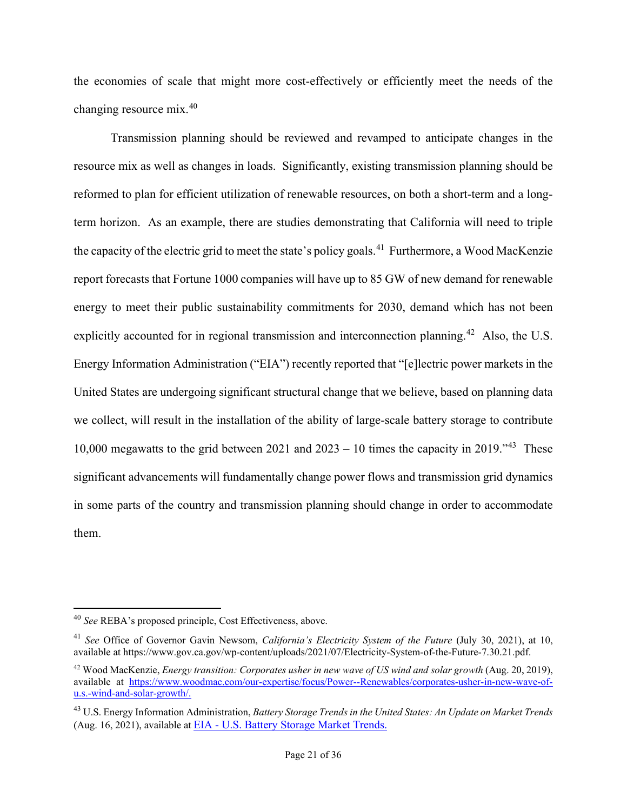the economies of scale that might more cost-effectively or efficiently meet the needs of the changing resource mix.[40](#page-20-0) 

Transmission planning should be reviewed and revamped to anticipate changes in the resource mix as well as changes in loads. Significantly, existing transmission planning should be reformed to plan for efficient utilization of renewable resources, on both a short-term and a longterm horizon. As an example, there are studies demonstrating that California will need to triple the capacity of the electric grid to meet the state's policy goals.<sup>41</sup> Furthermore, a Wood MacKenzie report forecasts that Fortune 1000 companies will have up to 85 GW of new demand for renewable energy to meet their public sustainability commitments for 2030, demand which has not been explicitly accounted for in regional transmission and interconnection planning.<sup>[42](#page-20-2)</sup> Also, the U.S. Energy Information Administration ("EIA") recently reported that "[e]lectric power markets in the United States are undergoing significant structural change that we believe, based on planning data we collect, will result in the installation of the ability of large-scale battery storage to contribute 10,000 megawatts to the grid between 2021 and  $2023 - 10$  times the capacity in 2019.<sup>43</sup> These significant advancements will fundamentally change power flows and transmission grid dynamics in some parts of the country and transmission planning should change in order to accommodate them.

<span id="page-20-0"></span><sup>40</sup> *See* REBA's proposed principle, Cost Effectiveness, above.

<span id="page-20-1"></span><sup>41</sup> *See* Office of Governor Gavin Newsom, *California's Electricity System of the Future* (July 30, 2021), at 10, available at https://www.gov.ca.gov/wp-content/uploads/2021/07/Electricity-System-of-the-Future-7.30.21.pdf.

<span id="page-20-2"></span><sup>42</sup> Wood MacKenzie, *Energy transition: Corporates usher in new wave of US wind and solar growth* (Aug. 20, 2019), available at [https://www.woodmac.com/our-expertise/focus/Power--Renewables/corporates-usher-in-new-wave-of](https://www.woodmac.com/our-expertise/focus/Power--Renewables/corporates-usher-in-new-wave-of-u.s.-wind-and-solar-growth/)[u.s.-wind-and-solar-growth/.](https://www.woodmac.com/our-expertise/focus/Power--Renewables/corporates-usher-in-new-wave-of-u.s.-wind-and-solar-growth/)

<span id="page-20-3"></span><sup>43</sup> U.S. Energy Information Administration, *Battery Storage Trends in the United States: An Update on Market Trends* (Aug. 16, 2021), available at EIA - [U.S. Battery Storage Market Trends.](https://www.eia.gov/analysis/studies/electricity/batterystorage/)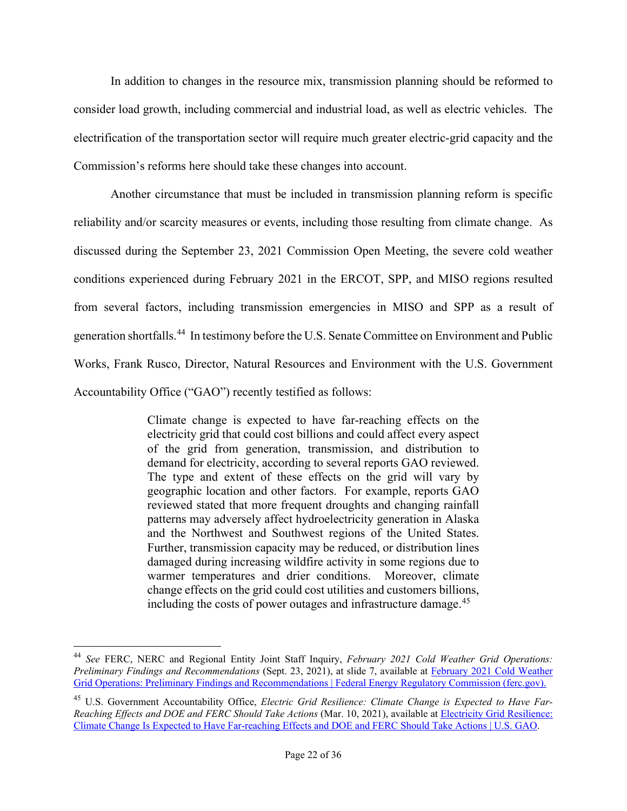In addition to changes in the resource mix, transmission planning should be reformed to consider load growth, including commercial and industrial load, as well as electric vehicles. The electrification of the transportation sector will require much greater electric-grid capacity and the Commission's reforms here should take these changes into account.

Another circumstance that must be included in transmission planning reform is specific reliability and/or scarcity measures or events, including those resulting from climate change. As discussed during the September 23, 2021 Commission Open Meeting, the severe cold weather conditions experienced during February 2021 in the ERCOT, SPP, and MISO regions resulted from several factors, including transmission emergencies in MISO and SPP as a result of generation shortfalls.[44](#page-21-0) In testimony before the U.S. Senate Committee on Environment and Public Works, Frank Rusco, Director, Natural Resources and Environment with the U.S. Government Accountability Office ("GAO") recently testified as follows:

> Climate change is expected to have far-reaching effects on the electricity grid that could cost billions and could affect every aspect of the grid from generation, transmission, and distribution to demand for electricity, according to several reports GAO reviewed. The type and extent of these effects on the grid will vary by geographic location and other factors. For example, reports GAO reviewed stated that more frequent droughts and changing rainfall patterns may adversely affect hydroelectricity generation in Alaska and the Northwest and Southwest regions of the United States. Further, transmission capacity may be reduced, or distribution lines damaged during increasing wildfire activity in some regions due to warmer temperatures and drier conditions. Moreover, climate change effects on the grid could cost utilities and customers billions, including the costs of power outages and infrastructure damage.<sup>[45](#page-21-1)</sup>

<span id="page-21-0"></span><sup>44</sup> *See* FERC, NERC and Regional Entity Joint Staff Inquiry, *February 2021 Cold Weather Grid Operations: Preliminary Findings and Recommendations* (Sept. 23, 2021), at slide 7, available at [February 2021 Cold Weather](https://ferc.gov/february-2021-cold-weather-grid-operations-preliminary-findings-and-recommendations)  [Grid Operations: Preliminary Findings and Recommendations | Federal Energy Regulatory Commission \(ferc.gov\).](https://ferc.gov/february-2021-cold-weather-grid-operations-preliminary-findings-and-recommendations)

<span id="page-21-1"></span><sup>45</sup> U.S. Government Accountability Office, *Electric Grid Resilience: Climate Change is Expected to Have Far-Reaching Effects and DOE and FERC Should Take Actions* (Mar. 10, 2021), available at [Electricity Grid Resilience:](https://www.gao.gov/products/gao-21-423t)  [Climate Change Is Expected to Have Far-reaching Effects and DOE and FERC Should Take Actions | U.S. GAO.](https://www.gao.gov/products/gao-21-423t)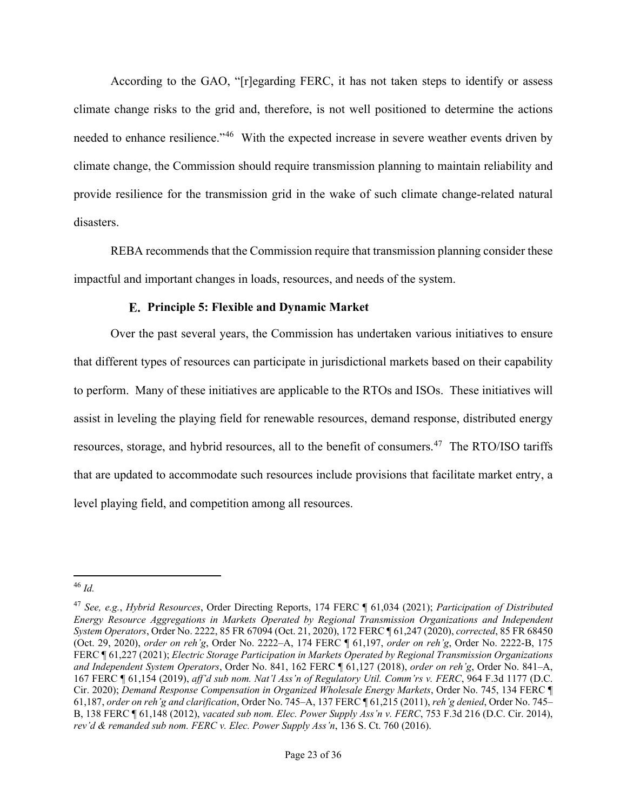According to the GAO, "[r]egarding FERC, it has not taken steps to identify or assess climate change risks to the grid and, therefore, is not well positioned to determine the actions needed to enhance resilience."<sup>[46](#page-22-0)</sup> With the expected increase in severe weather events driven by climate change, the Commission should require transmission planning to maintain reliability and provide resilience for the transmission grid in the wake of such climate change-related natural disasters.

REBA recommends that the Commission require that transmission planning consider these impactful and important changes in loads, resources, and needs of the system.

## **Principle 5: Flexible and Dynamic Market**

Over the past several years, the Commission has undertaken various initiatives to ensure that different types of resources can participate in jurisdictional markets based on their capability to perform. Many of these initiatives are applicable to the RTOs and ISOs. These initiatives will assist in leveling the playing field for renewable resources, demand response, distributed energy resources, storage, and hybrid resources, all to the benefit of consumers.<sup>[47](#page-22-1)</sup> The RTO/ISO tariffs that are updated to accommodate such resources include provisions that facilitate market entry, a level playing field, and competition among all resources.

<span id="page-22-0"></span><sup>46</sup> *Id.*

<span id="page-22-1"></span><sup>47</sup> *See, e.g.*, *Hybrid Resources*, Order Directing Reports, 174 FERC ¶ 61,034 (2021); *Participation of Distributed Energy Resource Aggregations in Markets Operated by Regional Transmission Organizations and Independent System Operators*, Order No. 2222, 85 FR 67094 (Oct. 21, 2020), 172 FERC ¶ 61,247 (2020), *corrected*, 85 FR 68450 (Oct. 29, 2020), *order on reh'g*, Order No. 2222–A, 174 FERC ¶ 61,197, *order on reh'g*, Order No. 2222-B, 175 FERC ¶ 61,227 (2021); *Electric Storage Participation in Markets Operated by Regional Transmission Organizations and Independent System Operators*, Order No. 841, 162 FERC ¶ 61,127 (2018), *order on reh'g*, Order No. 841–A, 167 FERC ¶ 61,154 (2019), *aff'd sub nom. Nat'l Ass'n of Regulatory Util. Comm'rs v. FERC*, 964 F.3d 1177 (D.C. Cir. 2020); *Demand Response Compensation in Organized Wholesale Energy Markets*, Order No. 745, 134 FERC ¶ 61,187, *order on reh'g and clarification*, Order No. 745–A, 137 FERC ¶ 61,215 (2011), *reh'g denied*, Order No. 745– B, 138 FERC ¶ 61,148 (2012), *vacated sub nom. Elec. Power Supply Ass'n v. FERC*, 753 F.3d 216 (D.C. Cir. 2014), *rev'd & remanded sub nom. FERC v. Elec. Power Supply Ass'n*, 136 S. Ct. 760 (2016).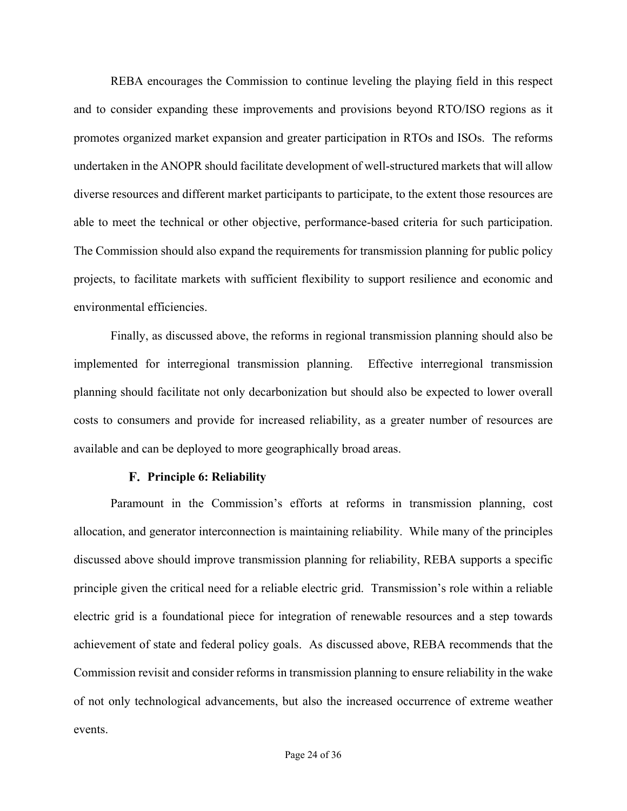REBA encourages the Commission to continue leveling the playing field in this respect and to consider expanding these improvements and provisions beyond RTO/ISO regions as it promotes organized market expansion and greater participation in RTOs and ISOs. The reforms undertaken in the ANOPR should facilitate development of well-structured markets that will allow diverse resources and different market participants to participate, to the extent those resources are able to meet the technical or other objective, performance-based criteria for such participation. The Commission should also expand the requirements for transmission planning for public policy projects, to facilitate markets with sufficient flexibility to support resilience and economic and environmental efficiencies.

Finally, as discussed above, the reforms in regional transmission planning should also be implemented for interregional transmission planning. Effective interregional transmission planning should facilitate not only decarbonization but should also be expected to lower overall costs to consumers and provide for increased reliability, as a greater number of resources are available and can be deployed to more geographically broad areas.

## **Principle 6: Reliability**

Paramount in the Commission's efforts at reforms in transmission planning, cost allocation, and generator interconnection is maintaining reliability. While many of the principles discussed above should improve transmission planning for reliability, REBA supports a specific principle given the critical need for a reliable electric grid. Transmission's role within a reliable electric grid is a foundational piece for integration of renewable resources and a step towards achievement of state and federal policy goals. As discussed above, REBA recommends that the Commission revisit and consider reforms in transmission planning to ensure reliability in the wake of not only technological advancements, but also the increased occurrence of extreme weather events.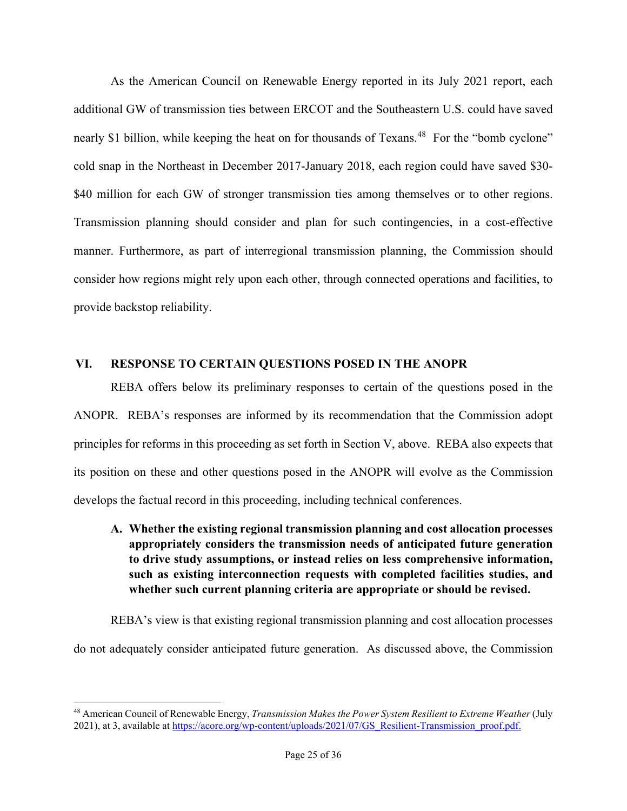As the American Council on Renewable Energy reported in its July 2021 report, each additional GW of transmission ties between ERCOT and the Southeastern U.S. could have saved nearly \$1 billion, while keeping the heat on for thousands of Texans.<sup>[48](#page-24-0)</sup> For the "bomb cyclone" cold snap in the Northeast in December 2017-January 2018, each region could have saved \$30- \$40 million for each GW of stronger transmission ties among themselves or to other regions. Transmission planning should consider and plan for such contingencies, in a cost-effective manner. Furthermore, as part of interregional transmission planning, the Commission should consider how regions might rely upon each other, through connected operations and facilities, to provide backstop reliability.

## **VI. RESPONSE TO CERTAIN QUESTIONS POSED IN THE ANOPR**

REBA offers below its preliminary responses to certain of the questions posed in the ANOPR. REBA's responses are informed by its recommendation that the Commission adopt principles for reforms in this proceeding as set forth in Section V, above. REBA also expects that its position on these and other questions posed in the ANOPR will evolve as the Commission develops the factual record in this proceeding, including technical conferences.

**A. Whether the existing regional transmission planning and cost allocation processes appropriately considers the transmission needs of anticipated future generation to drive study assumptions, or instead relies on less comprehensive information, such as existing interconnection requests with completed facilities studies, and whether such current planning criteria are appropriate or should be revised.**

REBA's view is that existing regional transmission planning and cost allocation processes do not adequately consider anticipated future generation. As discussed above, the Commission

<span id="page-24-0"></span><sup>48</sup> American Council of Renewable Energy, *Transmission Makes the Power System Resilient to Extreme Weather* (July 2021), at 3, available at [https://acore.org/wp-content/uploads/2021/07/GS\\_Resilient-Transmission\\_proof.pdf.](https://acore.org/wp-content/uploads/2021/07/GS_Resilient-Transmission_proof.pdf)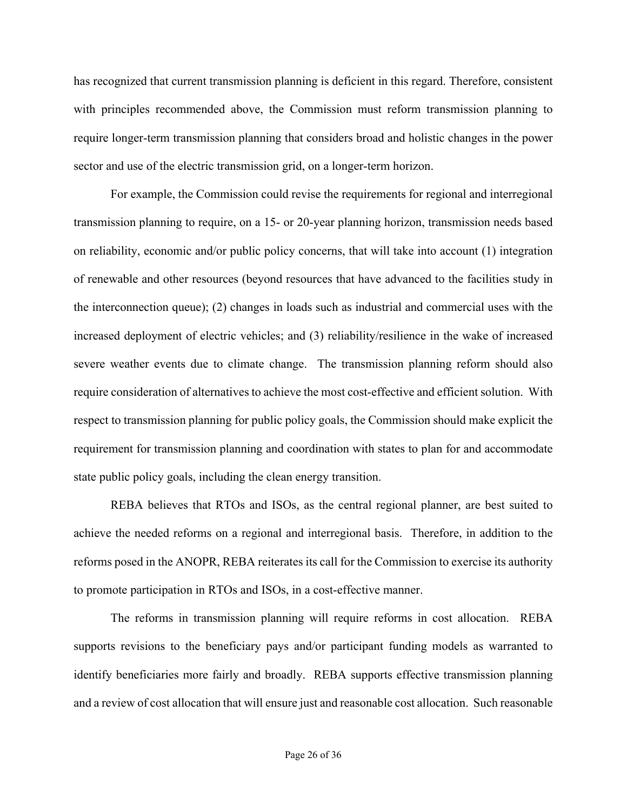has recognized that current transmission planning is deficient in this regard. Therefore, consistent with principles recommended above, the Commission must reform transmission planning to require longer-term transmission planning that considers broad and holistic changes in the power sector and use of the electric transmission grid, on a longer-term horizon.

For example, the Commission could revise the requirements for regional and interregional transmission planning to require, on a 15- or 20-year planning horizon, transmission needs based on reliability, economic and/or public policy concerns, that will take into account (1) integration of renewable and other resources (beyond resources that have advanced to the facilities study in the interconnection queue); (2) changes in loads such as industrial and commercial uses with the increased deployment of electric vehicles; and (3) reliability/resilience in the wake of increased severe weather events due to climate change. The transmission planning reform should also require consideration of alternatives to achieve the most cost-effective and efficient solution. With respect to transmission planning for public policy goals, the Commission should make explicit the requirement for transmission planning and coordination with states to plan for and accommodate state public policy goals, including the clean energy transition.

REBA believes that RTOs and ISOs, as the central regional planner, are best suited to achieve the needed reforms on a regional and interregional basis. Therefore, in addition to the reforms posed in the ANOPR, REBA reiterates its call for the Commission to exercise its authority to promote participation in RTOs and ISOs, in a cost-effective manner.

The reforms in transmission planning will require reforms in cost allocation. REBA supports revisions to the beneficiary pays and/or participant funding models as warranted to identify beneficiaries more fairly and broadly. REBA supports effective transmission planning and a review of cost allocation that will ensure just and reasonable cost allocation. Such reasonable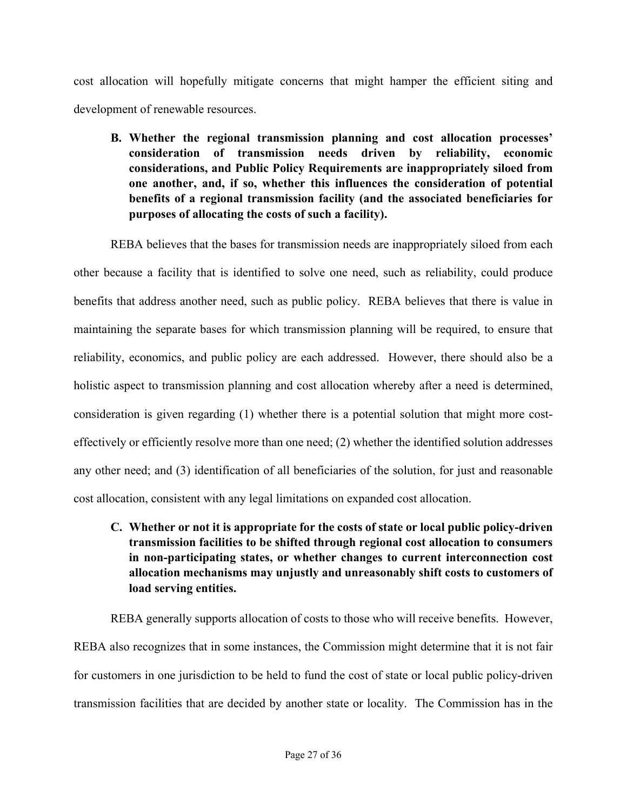cost allocation will hopefully mitigate concerns that might hamper the efficient siting and development of renewable resources.

**B. Whether the regional transmission planning and cost allocation processes' consideration of transmission needs driven by reliability, economic considerations, and Public Policy Requirements are inappropriately siloed from one another, and, if so, whether this influences the consideration of potential benefits of a regional transmission facility (and the associated beneficiaries for purposes of allocating the costs of such a facility).** 

REBA believes that the bases for transmission needs are inappropriately siloed from each other because a facility that is identified to solve one need, such as reliability, could produce benefits that address another need, such as public policy. REBA believes that there is value in maintaining the separate bases for which transmission planning will be required, to ensure that reliability, economics, and public policy are each addressed. However, there should also be a holistic aspect to transmission planning and cost allocation whereby after a need is determined, consideration is given regarding (1) whether there is a potential solution that might more costeffectively or efficiently resolve more than one need; (2) whether the identified solution addresses any other need; and (3) identification of all beneficiaries of the solution, for just and reasonable cost allocation, consistent with any legal limitations on expanded cost allocation.

**C. Whether or not it is appropriate for the costs of state or local public policy-driven transmission facilities to be shifted through regional cost allocation to consumers in non-participating states, or whether changes to current interconnection cost allocation mechanisms may unjustly and unreasonably shift costs to customers of load serving entities.** 

REBA generally supports allocation of costs to those who will receive benefits. However, REBA also recognizes that in some instances, the Commission might determine that it is not fair for customers in one jurisdiction to be held to fund the cost of state or local public policy-driven transmission facilities that are decided by another state or locality. The Commission has in the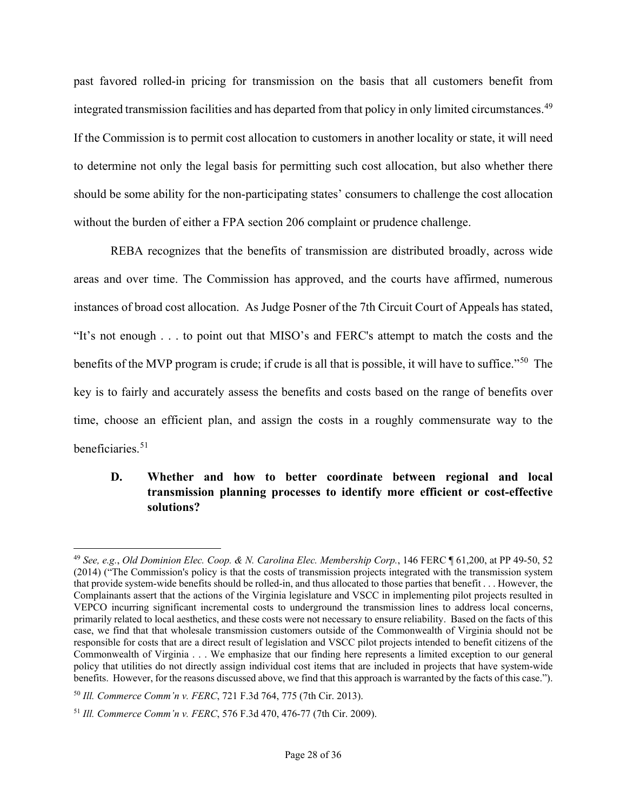past favored rolled-in pricing for transmission on the basis that all customers benefit from integrated transmission facilities and has departed from that policy in only limited circumstances. [49](#page-27-0) If the Commission is to permit cost allocation to customers in another locality or state, it will need to determine not only the legal basis for permitting such cost allocation, but also whether there should be some ability for the non-participating states' consumers to challenge the cost allocation without the burden of either a FPA section 206 complaint or prudence challenge.

REBA recognizes that the benefits of transmission are distributed broadly, across wide areas and over time. The Commission has approved, and the courts have affirmed, numerous instances of broad cost allocation. As Judge Posner of the 7th Circuit Court of Appeals has stated, "It's not enough . . . to point out that MISO's and FERC's attempt to match the costs and the benefits of the MVP program is crude; if crude is all that is possible, it will have to suffice."<sup>[50](#page-27-1)</sup> The key is to fairly and accurately assess the benefits and costs based on the range of benefits over time, choose an efficient plan, and assign the costs in a roughly commensurate way to the beneficiaries.[51](#page-27-2)

# **D. Whether and how to better coordinate between regional and local transmission planning processes to identify more efficient or cost-effective solutions?**

<span id="page-27-0"></span><sup>49</sup> *See, e.g.*, *Old Dominion Elec. Coop. & N. Carolina Elec. Membership Corp.*, 146 FERC ¶ 61,200, at PP 49-50, 52 (2014) ("The Commission's policy is that the costs of transmission projects integrated with the transmission system that provide system-wide benefits should be rolled-in, and thus allocated to those parties that benefit . . . However, the Complainants assert that the actions of the Virginia legislature and VSCC in implementing pilot projects resulted in VEPCO incurring significant incremental costs to underground the transmission lines to address local concerns, primarily related to local aesthetics, and these costs were not necessary to ensure reliability. Based on the facts of this case, we find that that wholesale transmission customers outside of the Commonwealth of Virginia should not be responsible for costs that are a direct result of legislation and VSCC pilot projects intended to benefit citizens of the Commonwealth of Virginia . . . We emphasize that our finding here represents a limited exception to our general policy that utilities do not directly assign individual cost items that are included in projects that have system-wide benefits. However, for the reasons discussed above, we find that this approach is warranted by the facts of this case.").

<span id="page-27-1"></span><sup>50</sup> *Ill. Commerce Comm'n v. FERC*, 721 F.3d 764, 775 (7th Cir. 2013).

<span id="page-27-2"></span><sup>51</sup> *Ill. Commerce Comm'n v. FERC*, 576 F.3d 470, 476-77 (7th Cir. 2009).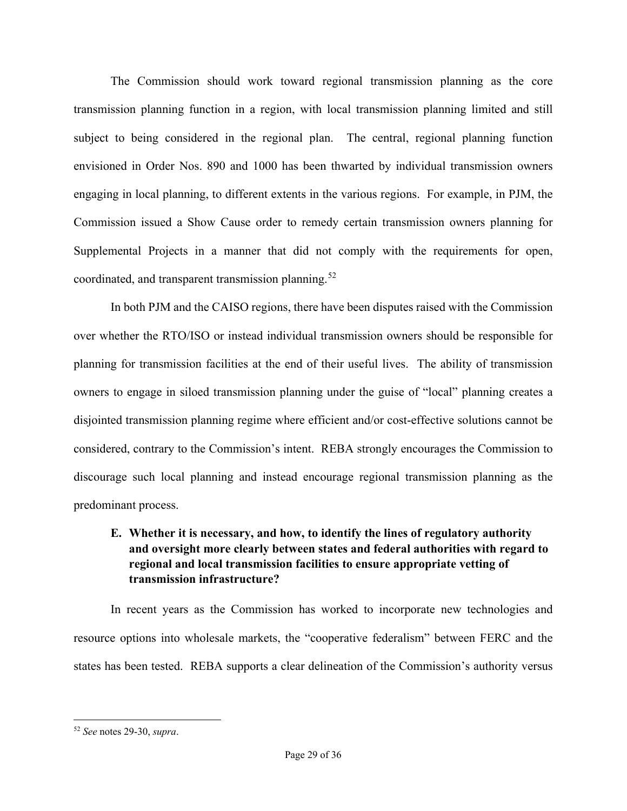The Commission should work toward regional transmission planning as the core transmission planning function in a region, with local transmission planning limited and still subject to being considered in the regional plan. The central, regional planning function envisioned in Order Nos. 890 and 1000 has been thwarted by individual transmission owners engaging in local planning, to different extents in the various regions. For example, in PJM, the Commission issued a Show Cause order to remedy certain transmission owners planning for Supplemental Projects in a manner that did not comply with the requirements for open, coordinated, and transparent transmission planning.<sup>52</sup>

In both PJM and the CAISO regions, there have been disputes raised with the Commission over whether the RTO/ISO or instead individual transmission owners should be responsible for planning for transmission facilities at the end of their useful lives. The ability of transmission owners to engage in siloed transmission planning under the guise of "local" planning creates a disjointed transmission planning regime where efficient and/or cost-effective solutions cannot be considered, contrary to the Commission's intent. REBA strongly encourages the Commission to discourage such local planning and instead encourage regional transmission planning as the predominant process.

# **E. Whether it is necessary, and how, to identify the lines of regulatory authority and oversight more clearly between states and federal authorities with regard to regional and local transmission facilities to ensure appropriate vetting of transmission infrastructure?**

In recent years as the Commission has worked to incorporate new technologies and resource options into wholesale markets, the "cooperative federalism" between FERC and the states has been tested. REBA supports a clear delineation of the Commission's authority versus

<span id="page-28-0"></span><sup>52</sup> *See* notes 29-30, *supra*.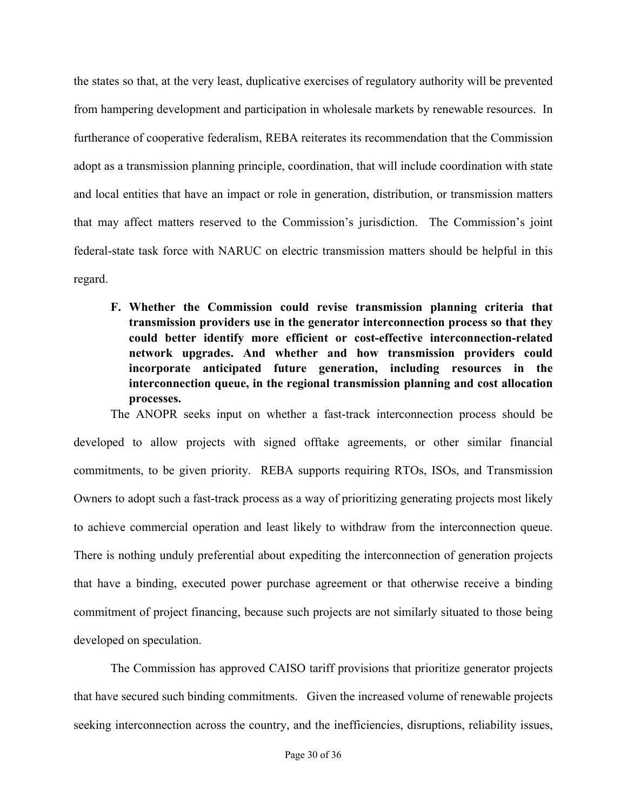the states so that, at the very least, duplicative exercises of regulatory authority will be prevented from hampering development and participation in wholesale markets by renewable resources. In furtherance of cooperative federalism, REBA reiterates its recommendation that the Commission adopt as a transmission planning principle, coordination, that will include coordination with state and local entities that have an impact or role in generation, distribution, or transmission matters that may affect matters reserved to the Commission's jurisdiction. The Commission's joint federal-state task force with NARUC on electric transmission matters should be helpful in this regard.

**F. Whether the Commission could revise transmission planning criteria that transmission providers use in the generator interconnection process so that they could better identify more efficient or cost-effective interconnection-related network upgrades. And whether and how transmission providers could incorporate anticipated future generation, including resources in the interconnection queue, in the regional transmission planning and cost allocation processes.**

The ANOPR seeks input on whether a fast-track interconnection process should be developed to allow projects with signed offtake agreements, or other similar financial commitments, to be given priority. REBA supports requiring RTOs, ISOs, and Transmission Owners to adopt such a fast-track process as a way of prioritizing generating projects most likely to achieve commercial operation and least likely to withdraw from the interconnection queue. There is nothing unduly preferential about expediting the interconnection of generation projects that have a binding, executed power purchase agreement or that otherwise receive a binding commitment of project financing, because such projects are not similarly situated to those being developed on speculation.

The Commission has approved CAISO tariff provisions that prioritize generator projects that have secured such binding commitments. Given the increased volume of renewable projects seeking interconnection across the country, and the inefficiencies, disruptions, reliability issues,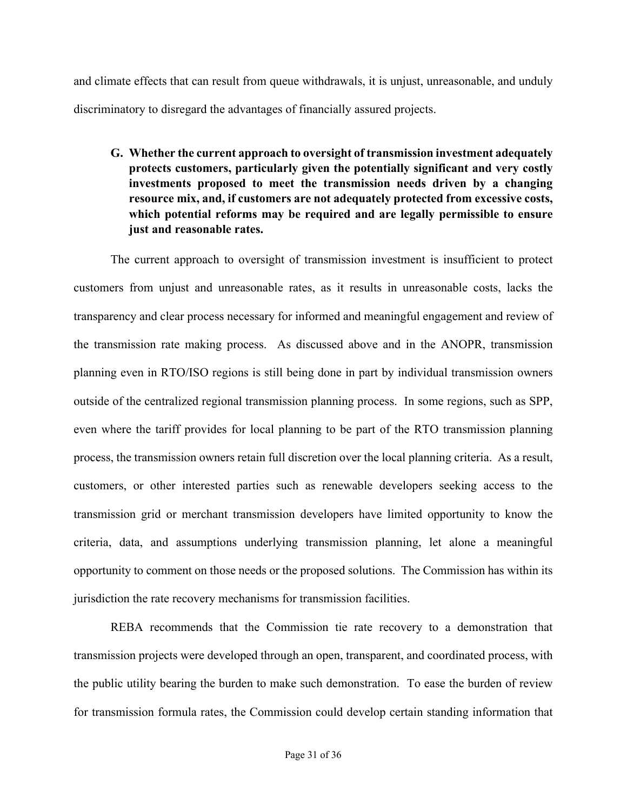and climate effects that can result from queue withdrawals, it is unjust, unreasonable, and unduly discriminatory to disregard the advantages of financially assured projects.

**G. Whether the current approach to oversight of transmission investment adequately protects customers, particularly given the potentially significant and very costly investments proposed to meet the transmission needs driven by a changing resource mix, and, if customers are not adequately protected from excessive costs, which potential reforms may be required and are legally permissible to ensure just and reasonable rates.**

The current approach to oversight of transmission investment is insufficient to protect customers from unjust and unreasonable rates, as it results in unreasonable costs, lacks the transparency and clear process necessary for informed and meaningful engagement and review of the transmission rate making process. As discussed above and in the ANOPR, transmission planning even in RTO/ISO regions is still being done in part by individual transmission owners outside of the centralized regional transmission planning process. In some regions, such as SPP, even where the tariff provides for local planning to be part of the RTO transmission planning process, the transmission owners retain full discretion over the local planning criteria. As a result, customers, or other interested parties such as renewable developers seeking access to the transmission grid or merchant transmission developers have limited opportunity to know the criteria, data, and assumptions underlying transmission planning, let alone a meaningful opportunity to comment on those needs or the proposed solutions. The Commission has within its jurisdiction the rate recovery mechanisms for transmission facilities.

REBA recommends that the Commission tie rate recovery to a demonstration that transmission projects were developed through an open, transparent, and coordinated process, with the public utility bearing the burden to make such demonstration. To ease the burden of review for transmission formula rates, the Commission could develop certain standing information that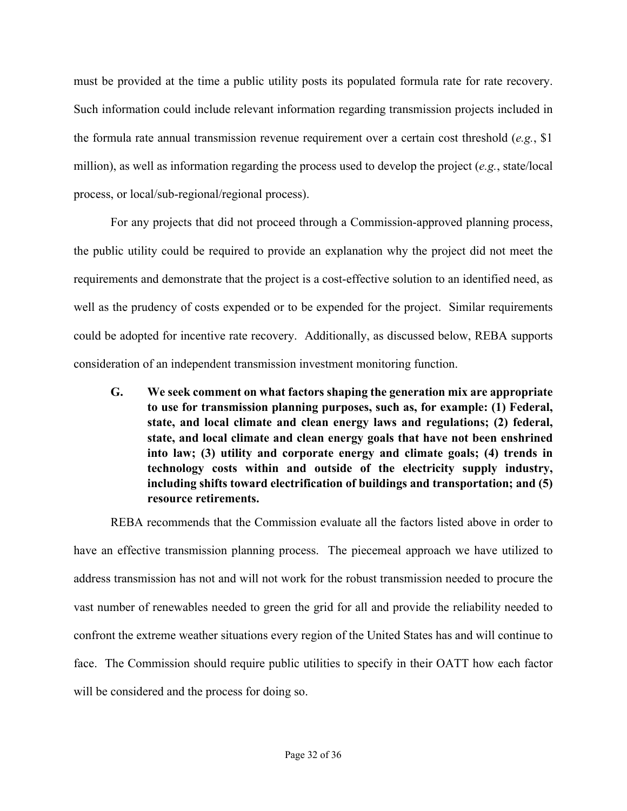must be provided at the time a public utility posts its populated formula rate for rate recovery. Such information could include relevant information regarding transmission projects included in the formula rate annual transmission revenue requirement over a certain cost threshold (*e.g.*, \$1 million), as well as information regarding the process used to develop the project (*e.g.*, state/local process, or local/sub-regional/regional process).

For any projects that did not proceed through a Commission-approved planning process, the public utility could be required to provide an explanation why the project did not meet the requirements and demonstrate that the project is a cost-effective solution to an identified need, as well as the prudency of costs expended or to be expended for the project. Similar requirements could be adopted for incentive rate recovery. Additionally, as discussed below, REBA supports consideration of an independent transmission investment monitoring function.

**G. We seek comment on what factors shaping the generation mix are appropriate to use for transmission planning purposes, such as, for example: (1) Federal, state, and local climate and clean energy laws and regulations; (2) federal, state, and local climate and clean energy goals that have not been enshrined into law; (3) utility and corporate energy and climate goals; (4) trends in technology costs within and outside of the electricity supply industry, including shifts toward electrification of buildings and transportation; and (5) resource retirements.** 

REBA recommends that the Commission evaluate all the factors listed above in order to have an effective transmission planning process. The piecemeal approach we have utilized to address transmission has not and will not work for the robust transmission needed to procure the vast number of renewables needed to green the grid for all and provide the reliability needed to confront the extreme weather situations every region of the United States has and will continue to face. The Commission should require public utilities to specify in their OATT how each factor will be considered and the process for doing so.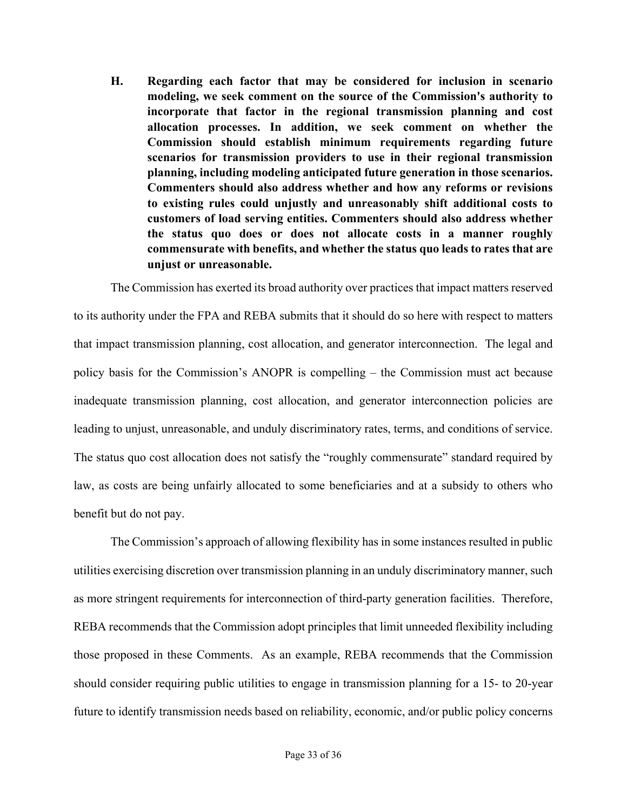**H. Regarding each factor that may be considered for inclusion in scenario modeling, we seek comment on the source of the Commission's authority to incorporate that factor in the regional transmission planning and cost allocation processes. In addition, we seek comment on whether the Commission should establish minimum requirements regarding future scenarios for transmission providers to use in their regional transmission planning, including modeling anticipated future generation in those scenarios. Commenters should also address whether and how any reforms or revisions to existing rules could unjustly and unreasonably shift additional costs to customers of load serving entities. Commenters should also address whether the status quo does or does not allocate costs in a manner roughly commensurate with benefits, and whether the status quo leads to rates that are unjust or unreasonable.**

The Commission has exerted its broad authority over practices that impact matters reserved to its authority under the FPA and REBA submits that it should do so here with respect to matters that impact transmission planning, cost allocation, and generator interconnection. The legal and policy basis for the Commission's ANOPR is compelling – the Commission must act because inadequate transmission planning, cost allocation, and generator interconnection policies are leading to unjust, unreasonable, and unduly discriminatory rates, terms, and conditions of service. The status quo cost allocation does not satisfy the "roughly commensurate" standard required by law, as costs are being unfairly allocated to some beneficiaries and at a subsidy to others who benefit but do not pay.

The Commission's approach of allowing flexibility has in some instances resulted in public utilities exercising discretion over transmission planning in an unduly discriminatory manner, such as more stringent requirements for interconnection of third-party generation facilities. Therefore, REBA recommends that the Commission adopt principles that limit unneeded flexibility including those proposed in these Comments. As an example, REBA recommends that the Commission should consider requiring public utilities to engage in transmission planning for a 15- to 20-year future to identify transmission needs based on reliability, economic, and/or public policy concerns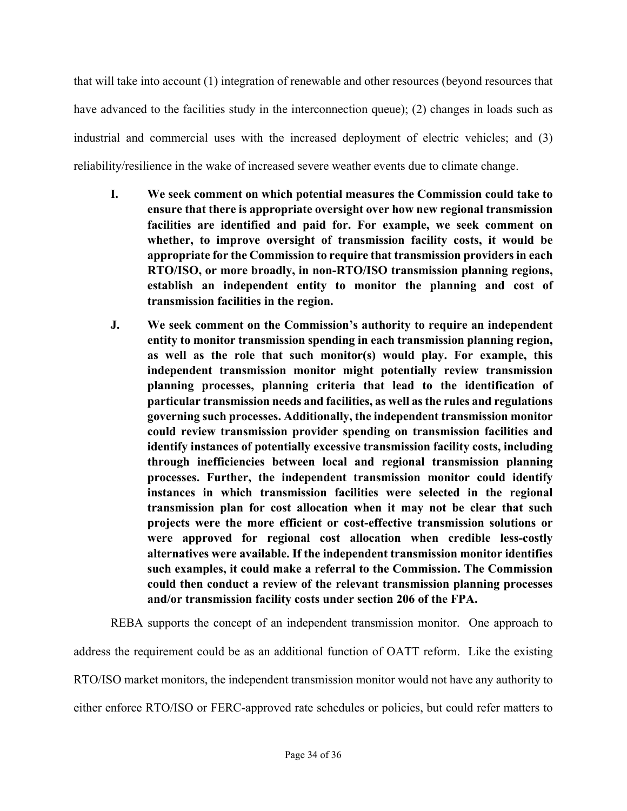that will take into account (1) integration of renewable and other resources (beyond resources that have advanced to the facilities study in the interconnection queue); (2) changes in loads such as industrial and commercial uses with the increased deployment of electric vehicles; and (3) reliability/resilience in the wake of increased severe weather events due to climate change.

- **I. We seek comment on which potential measures the Commission could take to ensure that there is appropriate oversight over how new regional transmission facilities are identified and paid for. For example, we seek comment on whether, to improve oversight of transmission facility costs, it would be appropriate for the Commission to require that transmission providers in each RTO/ISO, or more broadly, in non-RTO/ISO transmission planning regions, establish an independent entity to monitor the planning and cost of transmission facilities in the region.**
- **J. We seek comment on the Commission's authority to require an independent entity to monitor transmission spending in each transmission planning region, as well as the role that such monitor(s) would play. For example, this independent transmission monitor might potentially review transmission planning processes, planning criteria that lead to the identification of particular transmission needs and facilities, as well as the rules and regulations governing such processes. Additionally, the independent transmission monitor could review transmission provider spending on transmission facilities and identify instances of potentially excessive transmission facility costs, including through inefficiencies between local and regional transmission planning processes. Further, the independent transmission monitor could identify instances in which transmission facilities were selected in the regional transmission plan for cost allocation when it may not be clear that such projects were the more efficient or cost-effective transmission solutions or were approved for regional cost allocation when credible less-costly alternatives were available. If the independent transmission monitor identifies such examples, it could make a referral to the Commission. The Commission could then conduct a review of the relevant transmission planning processes and/or transmission facility costs under section 206 of the FPA.**

REBA supports the concept of an independent transmission monitor. One approach to address the requirement could be as an additional function of OATT reform. Like the existing RTO/ISO market monitors, the independent transmission monitor would not have any authority to either enforce RTO/ISO or FERC-approved rate schedules or policies, but could refer matters to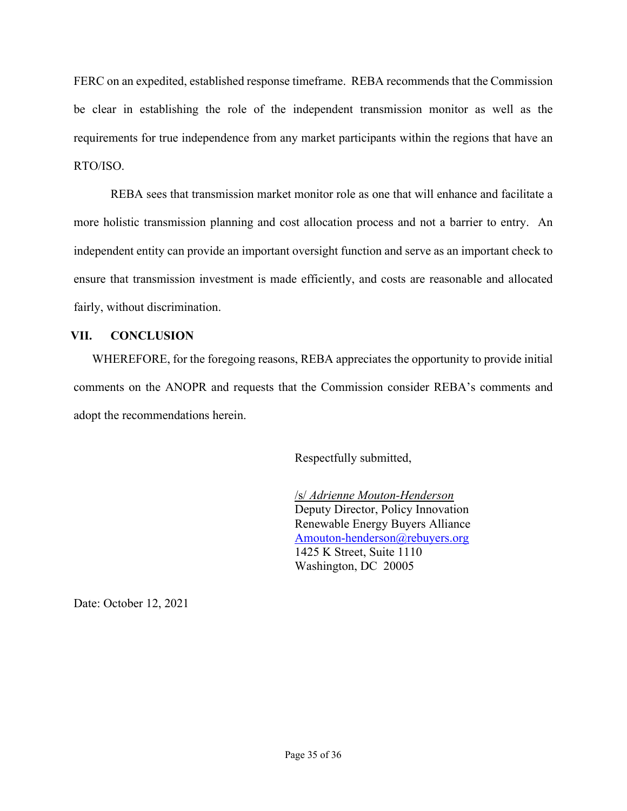FERC on an expedited, established response timeframe. REBA recommends that the Commission be clear in establishing the role of the independent transmission monitor as well as the requirements for true independence from any market participants within the regions that have an RTO/ISO.

REBA sees that transmission market monitor role as one that will enhance and facilitate a more holistic transmission planning and cost allocation process and not a barrier to entry. An independent entity can provide an important oversight function and serve as an important check to ensure that transmission investment is made efficiently, and costs are reasonable and allocated fairly, without discrimination.

## **VII. CONCLUSION**

WHEREFORE, for the foregoing reasons, REBA appreciates the opportunity to provide initial comments on the ANOPR and requests that the Commission consider REBA's comments and adopt the recommendations herein.

Respectfully submitted,

/s/ *Adrienne Mouton-Henderson* Deputy Director, Policy Innovation Renewable Energy Buyers Alliance Amouton-henderson@rebuyers.org 1425 K Street, Suite 1110 Washington, DC 20005

Date: October 12, 2021